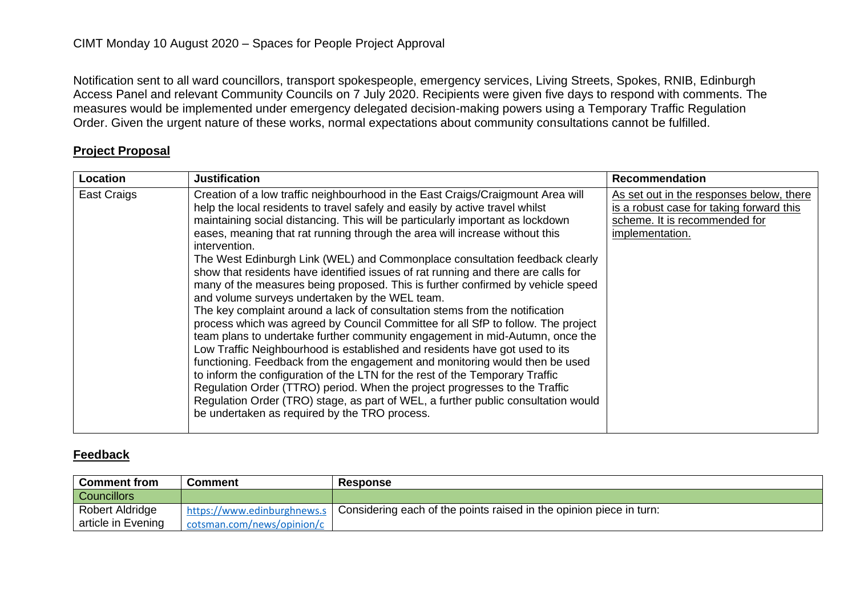Notification sent to all ward councillors, transport spokespeople, emergency services, Living Streets, Spokes, RNIB, Edinburgh Access Panel and relevant Community Councils on 7 July 2020. Recipients were given five days to respond with comments. The measures would be implemented under emergency delegated decision-making powers using a Temporary Traffic Regulation Order. Given the urgent nature of these works, normal expectations about community consultations cannot be fulfilled.

## **Project Proposal**

| Location    | <b>Justification</b>                                                                                                                                                                                                                                                                                                                                                                                                                                                                                                                                                                                                                                                                                                                                                                                                                                                                                                                                                                                                                                                                                                                                                                                                                                                                                                                                                            | <b>Recommendation</b>                                                                                                                    |
|-------------|---------------------------------------------------------------------------------------------------------------------------------------------------------------------------------------------------------------------------------------------------------------------------------------------------------------------------------------------------------------------------------------------------------------------------------------------------------------------------------------------------------------------------------------------------------------------------------------------------------------------------------------------------------------------------------------------------------------------------------------------------------------------------------------------------------------------------------------------------------------------------------------------------------------------------------------------------------------------------------------------------------------------------------------------------------------------------------------------------------------------------------------------------------------------------------------------------------------------------------------------------------------------------------------------------------------------------------------------------------------------------------|------------------------------------------------------------------------------------------------------------------------------------------|
| East Craigs | Creation of a low traffic neighbourhood in the East Craigs/Craigmount Area will<br>help the local residents to travel safely and easily by active travel whilst<br>maintaining social distancing. This will be particularly important as lockdown<br>eases, meaning that rat running through the area will increase without this<br>intervention.<br>The West Edinburgh Link (WEL) and Commonplace consultation feedback clearly<br>show that residents have identified issues of rat running and there are calls for<br>many of the measures being proposed. This is further confirmed by vehicle speed<br>and volume surveys undertaken by the WEL team.<br>The key complaint around a lack of consultation stems from the notification<br>process which was agreed by Council Committee for all SfP to follow. The project<br>team plans to undertake further community engagement in mid-Autumn, once the<br>Low Traffic Neighbourhood is established and residents have got used to its<br>functioning. Feedback from the engagement and monitoring would then be used<br>to inform the configuration of the LTN for the rest of the Temporary Traffic<br>Regulation Order (TTRO) period. When the project progresses to the Traffic<br>Regulation Order (TRO) stage, as part of WEL, a further public consultation would<br>be undertaken as required by the TRO process. | As set out in the responses below, there<br>is a robust case for taking forward this<br>scheme. It is recommended for<br>implementation. |

## **Feedback**

| <b>Comment from</b> | Comment                    | <b>Response</b>                                                                                     |
|---------------------|----------------------------|-----------------------------------------------------------------------------------------------------|
| <b>Councillors</b>  |                            |                                                                                                     |
| Robert Aldridge     |                            | I https://www.edinburghnews.s   Considering each of the points raised in the opinion piece in turn: |
| article in Evening  | cotsman.com/news/opinion/c |                                                                                                     |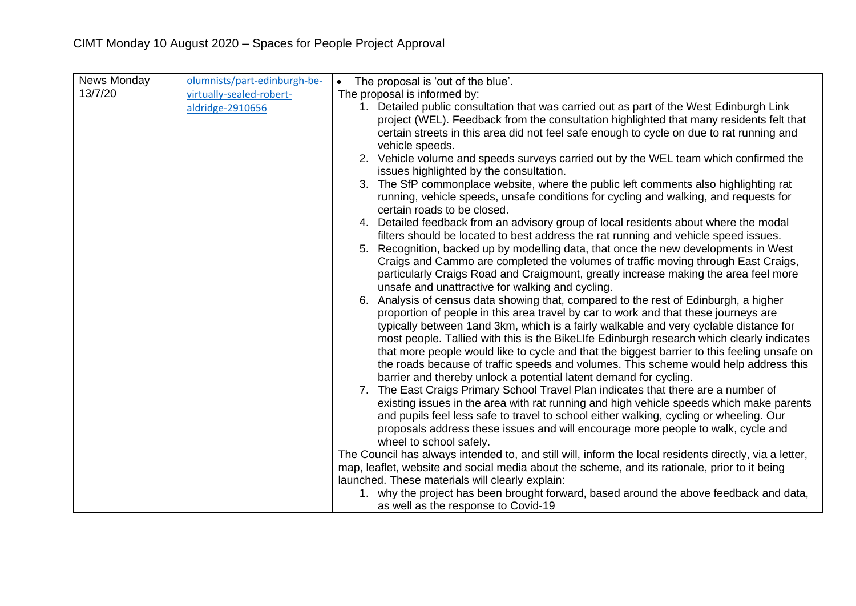| News Monday | olumnists/part-edinburgh-be- | The proposal is 'out of the blue'.<br>$\bullet$                                                        |
|-------------|------------------------------|--------------------------------------------------------------------------------------------------------|
| 13/7/20     | virtually-sealed-robert-     | The proposal is informed by:                                                                           |
|             | aldridge-2910656             | 1. Detailed public consultation that was carried out as part of the West Edinburgh Link                |
|             |                              | project (WEL). Feedback from the consultation highlighted that many residents felt that                |
|             |                              | certain streets in this area did not feel safe enough to cycle on due to rat running and               |
|             |                              | vehicle speeds.                                                                                        |
|             |                              | 2. Vehicle volume and speeds surveys carried out by the WEL team which confirmed the                   |
|             |                              | issues highlighted by the consultation.                                                                |
|             |                              | 3. The SfP commonplace website, where the public left comments also highlighting rat                   |
|             |                              | running, vehicle speeds, unsafe conditions for cycling and walking, and requests for                   |
|             |                              | certain roads to be closed.                                                                            |
|             |                              | 4. Detailed feedback from an advisory group of local residents about where the modal                   |
|             |                              | filters should be located to best address the rat running and vehicle speed issues.                    |
|             |                              | 5. Recognition, backed up by modelling data, that once the new developments in West                    |
|             |                              | Craigs and Cammo are completed the volumes of traffic moving through East Craigs,                      |
|             |                              | particularly Craigs Road and Craigmount, greatly increase making the area feel more                    |
|             |                              | unsafe and unattractive for walking and cycling.                                                       |
|             |                              | 6. Analysis of census data showing that, compared to the rest of Edinburgh, a higher                   |
|             |                              | proportion of people in this area travel by car to work and that these journeys are                    |
|             |                              | typically between 1 and 3km, which is a fairly walkable and very cyclable distance for                 |
|             |                              | most people. Tallied with this is the BikeLIfe Edinburgh research which clearly indicates              |
|             |                              | that more people would like to cycle and that the biggest barrier to this feeling unsafe on            |
|             |                              | the roads because of traffic speeds and volumes. This scheme would help address this                   |
|             |                              | barrier and thereby unlock a potential latent demand for cycling.                                      |
|             |                              | 7. The East Craigs Primary School Travel Plan indicates that there are a number of                     |
|             |                              | existing issues in the area with rat running and high vehicle speeds which make parents                |
|             |                              | and pupils feel less safe to travel to school either walking, cycling or wheeling. Our                 |
|             |                              | proposals address these issues and will encourage more people to walk, cycle and                       |
|             |                              | wheel to school safely.                                                                                |
|             |                              | The Council has always intended to, and still will, inform the local residents directly, via a letter, |
|             |                              | map, leaflet, website and social media about the scheme, and its rationale, prior to it being          |
|             |                              | launched. These materials will clearly explain:                                                        |
|             |                              | 1. why the project has been brought forward, based around the above feedback and data,                 |
|             |                              | as well as the response to Covid-19                                                                    |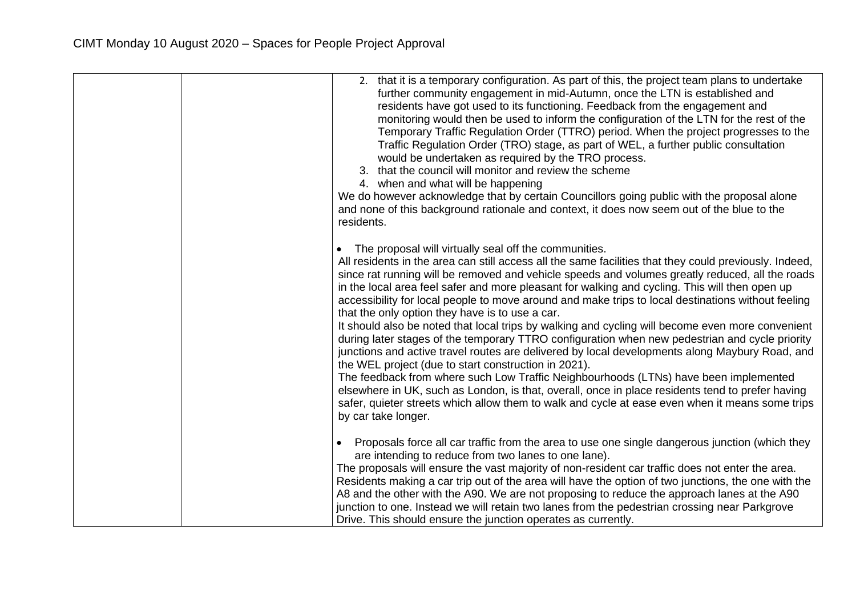| 2. that it is a temporary configuration. As part of this, the project team plans to undertake<br>further community engagement in mid-Autumn, once the LTN is established and<br>residents have got used to its functioning. Feedback from the engagement and<br>monitoring would then be used to inform the configuration of the LTN for the rest of the<br>Temporary Traffic Regulation Order (TTRO) period. When the project progresses to the<br>Traffic Regulation Order (TRO) stage, as part of WEL, a further public consultation<br>would be undertaken as required by the TRO process.<br>3. that the council will monitor and review the scheme<br>4. when and what will be happening<br>We do however acknowledge that by certain Councillors going public with the proposal alone<br>and none of this background rationale and context, it does now seem out of the blue to the<br>residents.                                                                                                                                                                                                                                                   |
|------------------------------------------------------------------------------------------------------------------------------------------------------------------------------------------------------------------------------------------------------------------------------------------------------------------------------------------------------------------------------------------------------------------------------------------------------------------------------------------------------------------------------------------------------------------------------------------------------------------------------------------------------------------------------------------------------------------------------------------------------------------------------------------------------------------------------------------------------------------------------------------------------------------------------------------------------------------------------------------------------------------------------------------------------------------------------------------------------------------------------------------------------------|
| The proposal will virtually seal off the communities.                                                                                                                                                                                                                                                                                                                                                                                                                                                                                                                                                                                                                                                                                                                                                                                                                                                                                                                                                                                                                                                                                                      |
| $\bullet$                                                                                                                                                                                                                                                                                                                                                                                                                                                                                                                                                                                                                                                                                                                                                                                                                                                                                                                                                                                                                                                                                                                                                  |
| All residents in the area can still access all the same facilities that they could previously. Indeed,<br>since rat running will be removed and vehicle speeds and volumes greatly reduced, all the roads<br>in the local area feel safer and more pleasant for walking and cycling. This will then open up<br>accessibility for local people to move around and make trips to local destinations without feeling<br>that the only option they have is to use a car.<br>It should also be noted that local trips by walking and cycling will become even more convenient<br>during later stages of the temporary TTRO configuration when new pedestrian and cycle priority<br>junctions and active travel routes are delivered by local developments along Maybury Road, and<br>the WEL project (due to start construction in 2021).<br>The feedback from where such Low Traffic Neighbourhoods (LTNs) have been implemented<br>elsewhere in UK, such as London, is that, overall, once in place residents tend to prefer having<br>safer, quieter streets which allow them to walk and cycle at ease even when it means some trips<br>by car take longer. |
|                                                                                                                                                                                                                                                                                                                                                                                                                                                                                                                                                                                                                                                                                                                                                                                                                                                                                                                                                                                                                                                                                                                                                            |
| Proposals force all car traffic from the area to use one single dangerous junction (which they<br>$\bullet$<br>are intending to reduce from two lanes to one lane).                                                                                                                                                                                                                                                                                                                                                                                                                                                                                                                                                                                                                                                                                                                                                                                                                                                                                                                                                                                        |
| The proposals will ensure the vast majority of non-resident car traffic does not enter the area.                                                                                                                                                                                                                                                                                                                                                                                                                                                                                                                                                                                                                                                                                                                                                                                                                                                                                                                                                                                                                                                           |
| Residents making a car trip out of the area will have the option of two junctions, the one with the                                                                                                                                                                                                                                                                                                                                                                                                                                                                                                                                                                                                                                                                                                                                                                                                                                                                                                                                                                                                                                                        |
| A8 and the other with the A90. We are not proposing to reduce the approach lanes at the A90                                                                                                                                                                                                                                                                                                                                                                                                                                                                                                                                                                                                                                                                                                                                                                                                                                                                                                                                                                                                                                                                |
| junction to one. Instead we will retain two lanes from the pedestrian crossing near Parkgrove                                                                                                                                                                                                                                                                                                                                                                                                                                                                                                                                                                                                                                                                                                                                                                                                                                                                                                                                                                                                                                                              |
| Drive. This should ensure the junction operates as currently.                                                                                                                                                                                                                                                                                                                                                                                                                                                                                                                                                                                                                                                                                                                                                                                                                                                                                                                                                                                                                                                                                              |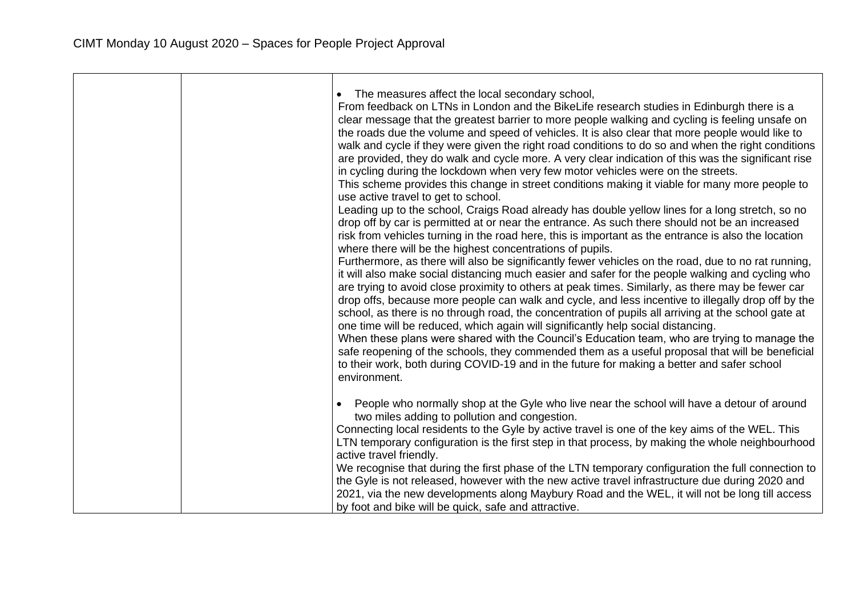| The measures affect the local secondary school,<br>From feedback on LTNs in London and the BikeLife research studies in Edinburgh there is a<br>clear message that the greatest barrier to more people walking and cycling is feeling unsafe on<br>the roads due the volume and speed of vehicles. It is also clear that more people would like to<br>walk and cycle if they were given the right road conditions to do so and when the right conditions<br>are provided, they do walk and cycle more. A very clear indication of this was the significant rise<br>in cycling during the lockdown when very few motor vehicles were on the streets.<br>This scheme provides this change in street conditions making it viable for many more people to<br>use active travel to get to school.<br>Leading up to the school, Craigs Road already has double yellow lines for a long stretch, so no<br>drop off by car is permitted at or near the entrance. As such there should not be an increased<br>risk from vehicles turning in the road here, this is important as the entrance is also the location<br>where there will be the highest concentrations of pupils.<br>Furthermore, as there will also be significantly fewer vehicles on the road, due to no rat running,<br>it will also make social distancing much easier and safer for the people walking and cycling who<br>are trying to avoid close proximity to others at peak times. Similarly, as there may be fewer car<br>drop offs, because more people can walk and cycle, and less incentive to illegally drop off by the<br>school, as there is no through road, the concentration of pupils all arriving at the school gate at<br>one time will be reduced, which again will significantly help social distancing.<br>When these plans were shared with the Council's Education team, who are trying to manage the<br>safe reopening of the schools, they commended them as a useful proposal that will be beneficial<br>to their work, both during COVID-19 and in the future for making a better and safer school<br>environment. |
|---------------------------------------------------------------------------------------------------------------------------------------------------------------------------------------------------------------------------------------------------------------------------------------------------------------------------------------------------------------------------------------------------------------------------------------------------------------------------------------------------------------------------------------------------------------------------------------------------------------------------------------------------------------------------------------------------------------------------------------------------------------------------------------------------------------------------------------------------------------------------------------------------------------------------------------------------------------------------------------------------------------------------------------------------------------------------------------------------------------------------------------------------------------------------------------------------------------------------------------------------------------------------------------------------------------------------------------------------------------------------------------------------------------------------------------------------------------------------------------------------------------------------------------------------------------------------------------------------------------------------------------------------------------------------------------------------------------------------------------------------------------------------------------------------------------------------------------------------------------------------------------------------------------------------------------------------------------------------------------------------------------------------------------------------------------------------------------------------------|
| People who normally shop at the Gyle who live near the school will have a detour of around<br>two miles adding to pollution and congestion.<br>Connecting local residents to the Gyle by active travel is one of the key aims of the WEL. This<br>LTN temporary configuration is the first step in that process, by making the whole neighbourhood<br>active travel friendly.                                                                                                                                                                                                                                                                                                                                                                                                                                                                                                                                                                                                                                                                                                                                                                                                                                                                                                                                                                                                                                                                                                                                                                                                                                                                                                                                                                                                                                                                                                                                                                                                                                                                                                                           |
| We recognise that during the first phase of the LTN temporary configuration the full connection to<br>the Gyle is not released, however with the new active travel infrastructure due during 2020 and<br>2021, via the new developments along Maybury Road and the WEL, it will not be long till access<br>by foot and bike will be quick, safe and attractive.                                                                                                                                                                                                                                                                                                                                                                                                                                                                                                                                                                                                                                                                                                                                                                                                                                                                                                                                                                                                                                                                                                                                                                                                                                                                                                                                                                                                                                                                                                                                                                                                                                                                                                                                         |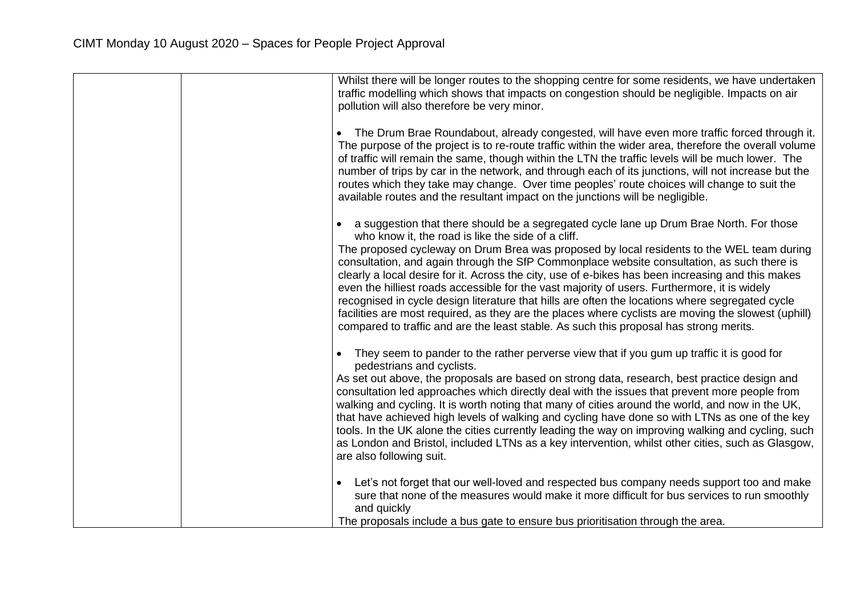| Whilst there will be longer routes to the shopping centre for some residents, we have undertaken<br>traffic modelling which shows that impacts on congestion should be negligible. Impacts on air<br>pollution will also therefore be very minor.                                                                                                                                                                                                                                                                                                                                                                                                                                                                                                                                                                                                 |
|---------------------------------------------------------------------------------------------------------------------------------------------------------------------------------------------------------------------------------------------------------------------------------------------------------------------------------------------------------------------------------------------------------------------------------------------------------------------------------------------------------------------------------------------------------------------------------------------------------------------------------------------------------------------------------------------------------------------------------------------------------------------------------------------------------------------------------------------------|
| The Drum Brae Roundabout, already congested, will have even more traffic forced through it.<br>The purpose of the project is to re-route traffic within the wider area, therefore the overall volume<br>of traffic will remain the same, though within the LTN the traffic levels will be much lower. The<br>number of trips by car in the network, and through each of its junctions, will not increase but the<br>routes which they take may change. Over time peoples' route choices will change to suit the<br>available routes and the resultant impact on the junctions will be negligible.                                                                                                                                                                                                                                                 |
| a suggestion that there should be a segregated cycle lane up Drum Brae North. For those<br>who know it, the road is like the side of a cliff.<br>The proposed cycleway on Drum Brea was proposed by local residents to the WEL team during<br>consultation, and again through the SfP Commonplace website consultation, as such there is<br>clearly a local desire for it. Across the city, use of e-bikes has been increasing and this makes<br>even the hilliest roads accessible for the vast majority of users. Furthermore, it is widely<br>recognised in cycle design literature that hills are often the locations where segregated cycle<br>facilities are most required, as they are the places where cyclists are moving the slowest (uphill)<br>compared to traffic and are the least stable. As such this proposal has strong merits. |
| They seem to pander to the rather perverse view that if you gum up traffic it is good for<br>pedestrians and cyclists.<br>As set out above, the proposals are based on strong data, research, best practice design and<br>consultation led approaches which directly deal with the issues that prevent more people from<br>walking and cycling. It is worth noting that many of cities around the world, and now in the UK,<br>that have achieved high levels of walking and cycling have done so with LTNs as one of the key<br>tools. In the UK alone the cities currently leading the way on improving walking and cycling, such<br>as London and Bristol, included LTNs as a key intervention, whilst other cities, such as Glasgow,<br>are also following suit.                                                                              |
| Let's not forget that our well-loved and respected bus company needs support too and make<br>sure that none of the measures would make it more difficult for bus services to run smoothly<br>and quickly<br>The proposals include a bus gate to ensure bus prioritisation through the area.                                                                                                                                                                                                                                                                                                                                                                                                                                                                                                                                                       |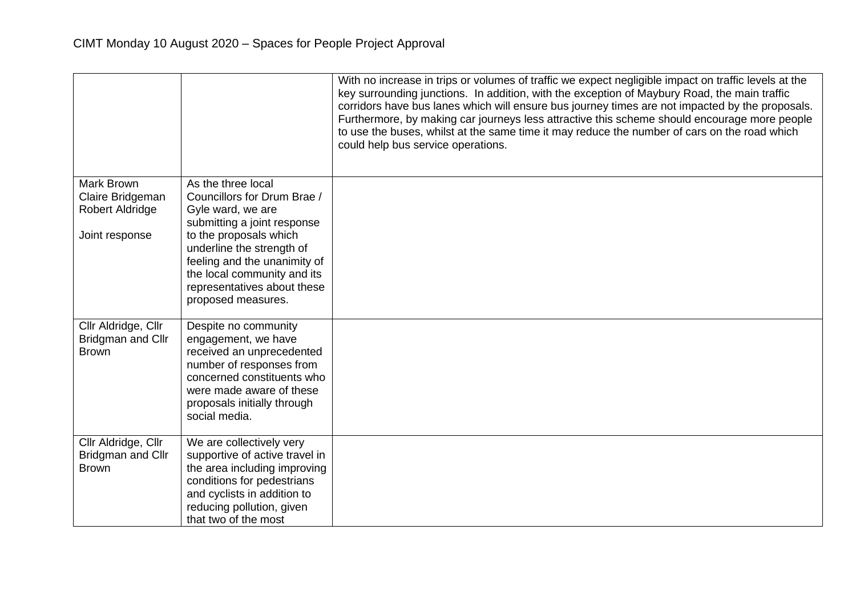|                                                          |                                                                                                                                                                                                                | With no increase in trips or volumes of traffic we expect negligible impact on traffic levels at the<br>key surrounding junctions. In addition, with the exception of Maybury Road, the main traffic<br>corridors have bus lanes which will ensure bus journey times are not impacted by the proposals.<br>Furthermore, by making car journeys less attractive this scheme should encourage more people<br>to use the buses, whilst at the same time it may reduce the number of cars on the road which<br>could help bus service operations. |
|----------------------------------------------------------|----------------------------------------------------------------------------------------------------------------------------------------------------------------------------------------------------------------|-----------------------------------------------------------------------------------------------------------------------------------------------------------------------------------------------------------------------------------------------------------------------------------------------------------------------------------------------------------------------------------------------------------------------------------------------------------------------------------------------------------------------------------------------|
| <b>Mark Brown</b><br>Claire Bridgeman                    | As the three local<br>Councillors for Drum Brae /                                                                                                                                                              |                                                                                                                                                                                                                                                                                                                                                                                                                                                                                                                                               |
| Robert Aldridge                                          | Gyle ward, we are                                                                                                                                                                                              |                                                                                                                                                                                                                                                                                                                                                                                                                                                                                                                                               |
| Joint response                                           | submitting a joint response<br>to the proposals which                                                                                                                                                          |                                                                                                                                                                                                                                                                                                                                                                                                                                                                                                                                               |
|                                                          | underline the strength of<br>feeling and the unanimity of                                                                                                                                                      |                                                                                                                                                                                                                                                                                                                                                                                                                                                                                                                                               |
|                                                          | the local community and its                                                                                                                                                                                    |                                                                                                                                                                                                                                                                                                                                                                                                                                                                                                                                               |
|                                                          | representatives about these<br>proposed measures.                                                                                                                                                              |                                                                                                                                                                                                                                                                                                                                                                                                                                                                                                                                               |
| Cllr Aldridge, Cllr<br>Bridgman and Cllr<br><b>Brown</b> | Despite no community<br>engagement, we have<br>received an unprecedented<br>number of responses from<br>concerned constituents who<br>were made aware of these<br>proposals initially through<br>social media. |                                                                                                                                                                                                                                                                                                                                                                                                                                                                                                                                               |
| Cllr Aldridge, Cllr<br>Bridgman and Cllr<br><b>Brown</b> | We are collectively very<br>supportive of active travel in<br>the area including improving<br>conditions for pedestrians<br>and cyclists in addition to<br>reducing pollution, given                           |                                                                                                                                                                                                                                                                                                                                                                                                                                                                                                                                               |
|                                                          | that two of the most                                                                                                                                                                                           |                                                                                                                                                                                                                                                                                                                                                                                                                                                                                                                                               |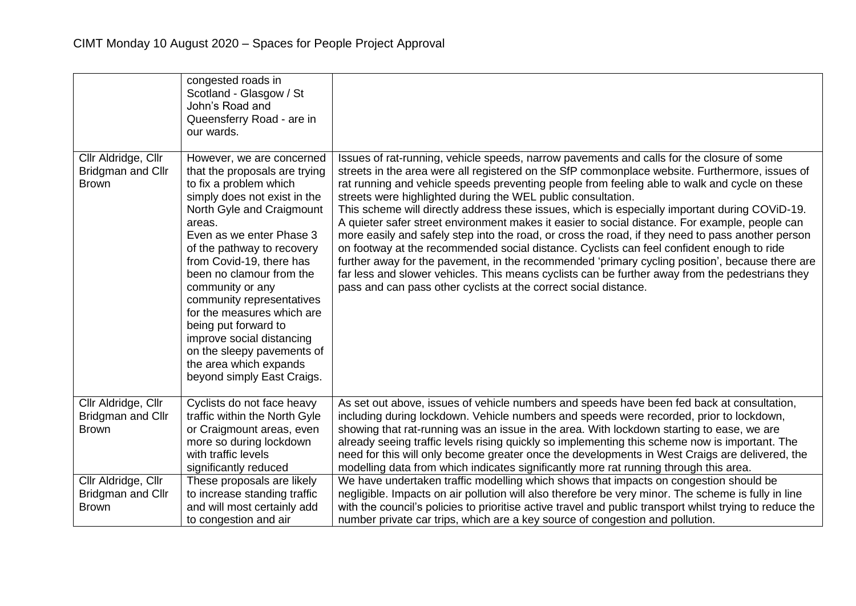|                                                          | congested roads in<br>Scotland - Glasgow / St<br>John's Road and<br>Queensferry Road - are in<br>our wards.                                                                                                                                                                                                                                                                                                                                                                                             |                                                                                                                                                                                                                                                                                                                                                                                                                                                                                                                                                                                                                                                                                                                                                                                                                                                                                                                                                                                                                                              |
|----------------------------------------------------------|---------------------------------------------------------------------------------------------------------------------------------------------------------------------------------------------------------------------------------------------------------------------------------------------------------------------------------------------------------------------------------------------------------------------------------------------------------------------------------------------------------|----------------------------------------------------------------------------------------------------------------------------------------------------------------------------------------------------------------------------------------------------------------------------------------------------------------------------------------------------------------------------------------------------------------------------------------------------------------------------------------------------------------------------------------------------------------------------------------------------------------------------------------------------------------------------------------------------------------------------------------------------------------------------------------------------------------------------------------------------------------------------------------------------------------------------------------------------------------------------------------------------------------------------------------------|
| Cllr Aldridge, Cllr<br>Bridgman and Cllr<br><b>Brown</b> | However, we are concerned<br>that the proposals are trying<br>to fix a problem which<br>simply does not exist in the<br>North Gyle and Craigmount<br>areas.<br>Even as we enter Phase 3<br>of the pathway to recovery<br>from Covid-19, there has<br>been no clamour from the<br>community or any<br>community representatives<br>for the measures which are<br>being put forward to<br>improve social distancing<br>on the sleepy pavements of<br>the area which expands<br>beyond simply East Craigs. | Issues of rat-running, vehicle speeds, narrow pavements and calls for the closure of some<br>streets in the area were all registered on the SfP commonplace website. Furthermore, issues of<br>rat running and vehicle speeds preventing people from feeling able to walk and cycle on these<br>streets were highlighted during the WEL public consultation.<br>This scheme will directly address these issues, which is especially important during COViD-19.<br>A quieter safer street environment makes it easier to social distance. For example, people can<br>more easily and safely step into the road, or cross the road, if they need to pass another person<br>on footway at the recommended social distance. Cyclists can feel confident enough to ride<br>further away for the pavement, in the recommended 'primary cycling position', because there are<br>far less and slower vehicles. This means cyclists can be further away from the pedestrians they<br>pass and can pass other cyclists at the correct social distance. |
| Cllr Aldridge, Cllr<br>Bridgman and Cllr<br><b>Brown</b> | Cyclists do not face heavy<br>traffic within the North Gyle<br>or Craigmount areas, even<br>more so during lockdown<br>with traffic levels<br>significantly reduced                                                                                                                                                                                                                                                                                                                                     | As set out above, issues of vehicle numbers and speeds have been fed back at consultation,<br>including during lockdown. Vehicle numbers and speeds were recorded, prior to lockdown,<br>showing that rat-running was an issue in the area. With lockdown starting to ease, we are<br>already seeing traffic levels rising quickly so implementing this scheme now is important. The<br>need for this will only become greater once the developments in West Craigs are delivered, the<br>modelling data from which indicates significantly more rat running through this area.                                                                                                                                                                                                                                                                                                                                                                                                                                                              |
| Cllr Aldridge, Cllr<br>Bridgman and Cllr<br><b>Brown</b> | These proposals are likely<br>to increase standing traffic<br>and will most certainly add<br>to congestion and air                                                                                                                                                                                                                                                                                                                                                                                      | We have undertaken traffic modelling which shows that impacts on congestion should be<br>negligible. Impacts on air pollution will also therefore be very minor. The scheme is fully in line<br>with the council's policies to prioritise active travel and public transport whilst trying to reduce the<br>number private car trips, which are a key source of congestion and pollution.                                                                                                                                                                                                                                                                                                                                                                                                                                                                                                                                                                                                                                                    |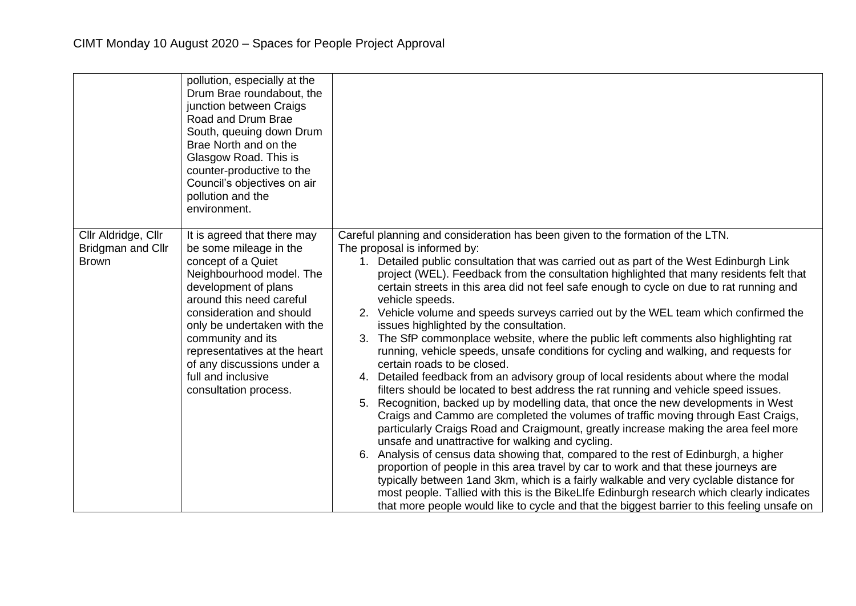|                                                                 | pollution, especially at the<br>Drum Brae roundabout, the<br>junction between Craigs<br>Road and Drum Brae<br>South, queuing down Drum<br>Brae North and on the<br>Glasgow Road. This is<br>counter-productive to the<br>Council's objectives on air<br>pollution and the<br>environment.                                                                |                                                                                                                                                                                                                                                                                                                                                                                                                                                                                                                                                                                                                                                                                                                                                                                                                                                                                                                                                                                                                                                                                                                                                                                                                                                                                                                                                                                                                                                                                                                                                                                                                                                                                                                                                  |
|-----------------------------------------------------------------|----------------------------------------------------------------------------------------------------------------------------------------------------------------------------------------------------------------------------------------------------------------------------------------------------------------------------------------------------------|--------------------------------------------------------------------------------------------------------------------------------------------------------------------------------------------------------------------------------------------------------------------------------------------------------------------------------------------------------------------------------------------------------------------------------------------------------------------------------------------------------------------------------------------------------------------------------------------------------------------------------------------------------------------------------------------------------------------------------------------------------------------------------------------------------------------------------------------------------------------------------------------------------------------------------------------------------------------------------------------------------------------------------------------------------------------------------------------------------------------------------------------------------------------------------------------------------------------------------------------------------------------------------------------------------------------------------------------------------------------------------------------------------------------------------------------------------------------------------------------------------------------------------------------------------------------------------------------------------------------------------------------------------------------------------------------------------------------------------------------------|
| Cllr Aldridge, Cllr<br><b>Bridgman and Cllr</b><br><b>Brown</b> | It is agreed that there may<br>be some mileage in the<br>concept of a Quiet<br>Neighbourhood model. The<br>development of plans<br>around this need careful<br>consideration and should<br>only be undertaken with the<br>community and its<br>representatives at the heart<br>of any discussions under a<br>full and inclusive<br>consultation process. | Careful planning and consideration has been given to the formation of the LTN.<br>The proposal is informed by:<br>1. Detailed public consultation that was carried out as part of the West Edinburgh Link<br>project (WEL). Feedback from the consultation highlighted that many residents felt that<br>certain streets in this area did not feel safe enough to cycle on due to rat running and<br>vehicle speeds.<br>2. Vehicle volume and speeds surveys carried out by the WEL team which confirmed the<br>issues highlighted by the consultation.<br>3. The SfP commonplace website, where the public left comments also highlighting rat<br>running, vehicle speeds, unsafe conditions for cycling and walking, and requests for<br>certain roads to be closed.<br>4. Detailed feedback from an advisory group of local residents about where the modal<br>filters should be located to best address the rat running and vehicle speed issues.<br>5. Recognition, backed up by modelling data, that once the new developments in West<br>Craigs and Cammo are completed the volumes of traffic moving through East Craigs,<br>particularly Craigs Road and Craigmount, greatly increase making the area feel more<br>unsafe and unattractive for walking and cycling.<br>6. Analysis of census data showing that, compared to the rest of Edinburgh, a higher<br>proportion of people in this area travel by car to work and that these journeys are<br>typically between 1 and 3km, which is a fairly walkable and very cyclable distance for<br>most people. Tallied with this is the BikeLIfe Edinburgh research which clearly indicates<br>that more people would like to cycle and that the biggest barrier to this feeling unsafe on |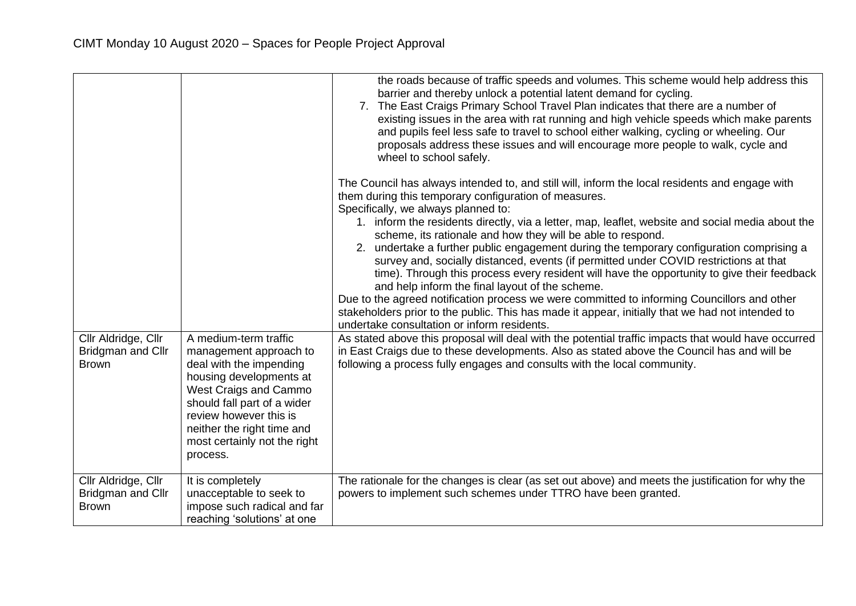| Cllr Aldridge, Cllr<br>Bridgman and Cllr<br><b>Brown</b>        | A medium-term traffic<br>management approach to<br>deal with the impending<br>housing developments at<br>West Craigs and Cammo<br>should fall part of a wider<br>review however this is<br>neither the right time and<br>most certainly not the right<br>process. | the roads because of traffic speeds and volumes. This scheme would help address this<br>barrier and thereby unlock a potential latent demand for cycling.<br>7. The East Craigs Primary School Travel Plan indicates that there are a number of<br>existing issues in the area with rat running and high vehicle speeds which make parents<br>and pupils feel less safe to travel to school either walking, cycling or wheeling. Our<br>proposals address these issues and will encourage more people to walk, cycle and<br>wheel to school safely.<br>The Council has always intended to, and still will, inform the local residents and engage with<br>them during this temporary configuration of measures.<br>Specifically, we always planned to:<br>1. inform the residents directly, via a letter, map, leaflet, website and social media about the<br>scheme, its rationale and how they will be able to respond.<br>2. undertake a further public engagement during the temporary configuration comprising a<br>survey and, socially distanced, events (if permitted under COVID restrictions at that<br>time). Through this process every resident will have the opportunity to give their feedback<br>and help inform the final layout of the scheme.<br>Due to the agreed notification process we were committed to informing Councillors and other<br>stakeholders prior to the public. This has made it appear, initially that we had not intended to<br>undertake consultation or inform residents.<br>As stated above this proposal will deal with the potential traffic impacts that would have occurred<br>in East Craigs due to these developments. Also as stated above the Council has and will be<br>following a process fully engages and consults with the local community. |
|-----------------------------------------------------------------|-------------------------------------------------------------------------------------------------------------------------------------------------------------------------------------------------------------------------------------------------------------------|----------------------------------------------------------------------------------------------------------------------------------------------------------------------------------------------------------------------------------------------------------------------------------------------------------------------------------------------------------------------------------------------------------------------------------------------------------------------------------------------------------------------------------------------------------------------------------------------------------------------------------------------------------------------------------------------------------------------------------------------------------------------------------------------------------------------------------------------------------------------------------------------------------------------------------------------------------------------------------------------------------------------------------------------------------------------------------------------------------------------------------------------------------------------------------------------------------------------------------------------------------------------------------------------------------------------------------------------------------------------------------------------------------------------------------------------------------------------------------------------------------------------------------------------------------------------------------------------------------------------------------------------------------------------------------------------------------------------------------------------------------------------------------------------------|
| Cllr Aldridge, Cllr<br><b>Bridgman and Cllr</b><br><b>Brown</b> | It is completely<br>unacceptable to seek to<br>impose such radical and far<br>reaching 'solutions' at one                                                                                                                                                         | The rationale for the changes is clear (as set out above) and meets the justification for why the<br>powers to implement such schemes under TTRO have been granted.                                                                                                                                                                                                                                                                                                                                                                                                                                                                                                                                                                                                                                                                                                                                                                                                                                                                                                                                                                                                                                                                                                                                                                                                                                                                                                                                                                                                                                                                                                                                                                                                                                |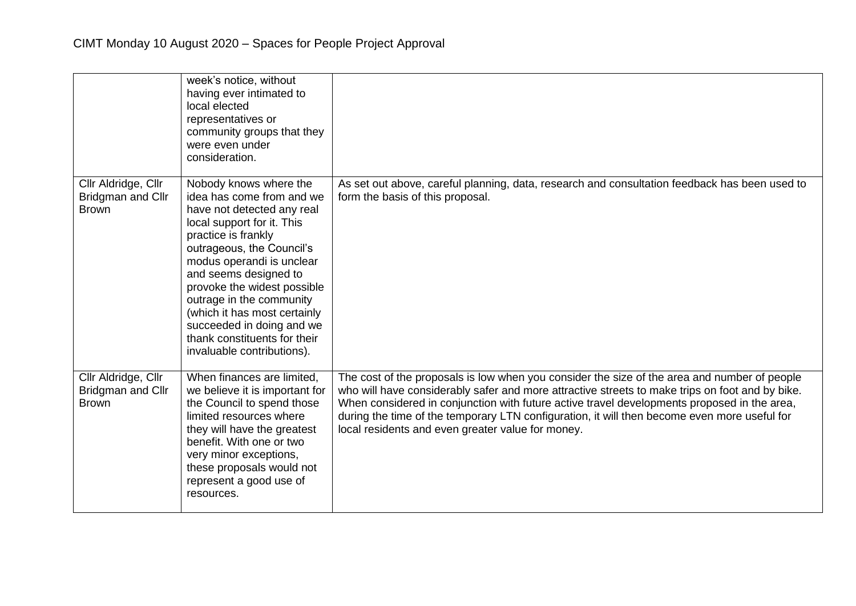|                                                          | week's notice, without<br>having ever intimated to<br>local elected<br>representatives or<br>community groups that they<br>were even under<br>consideration.                                                                                                                                                                                                                                                    |                                                                                                                                                                                                                                                                                                                                                                                                                                                     |
|----------------------------------------------------------|-----------------------------------------------------------------------------------------------------------------------------------------------------------------------------------------------------------------------------------------------------------------------------------------------------------------------------------------------------------------------------------------------------------------|-----------------------------------------------------------------------------------------------------------------------------------------------------------------------------------------------------------------------------------------------------------------------------------------------------------------------------------------------------------------------------------------------------------------------------------------------------|
| Cllr Aldridge, Cllr<br>Bridgman and Cllr<br><b>Brown</b> | Nobody knows where the<br>idea has come from and we<br>have not detected any real<br>local support for it. This<br>practice is frankly<br>outrageous, the Council's<br>modus operandi is unclear<br>and seems designed to<br>provoke the widest possible<br>outrage in the community<br>(which it has most certainly<br>succeeded in doing and we<br>thank constituents for their<br>invaluable contributions). | As set out above, careful planning, data, research and consultation feedback has been used to<br>form the basis of this proposal.                                                                                                                                                                                                                                                                                                                   |
| Cllr Aldridge, Cllr<br>Bridgman and Cllr<br><b>Brown</b> | When finances are limited,<br>we believe it is important for<br>the Council to spend those<br>limited resources where<br>they will have the greatest<br>benefit. With one or two<br>very minor exceptions,<br>these proposals would not<br>represent a good use of<br>resources.                                                                                                                                | The cost of the proposals is low when you consider the size of the area and number of people<br>who will have considerably safer and more attractive streets to make trips on foot and by bike.<br>When considered in conjunction with future active travel developments proposed in the area,<br>during the time of the temporary LTN configuration, it will then become even more useful for<br>local residents and even greater value for money. |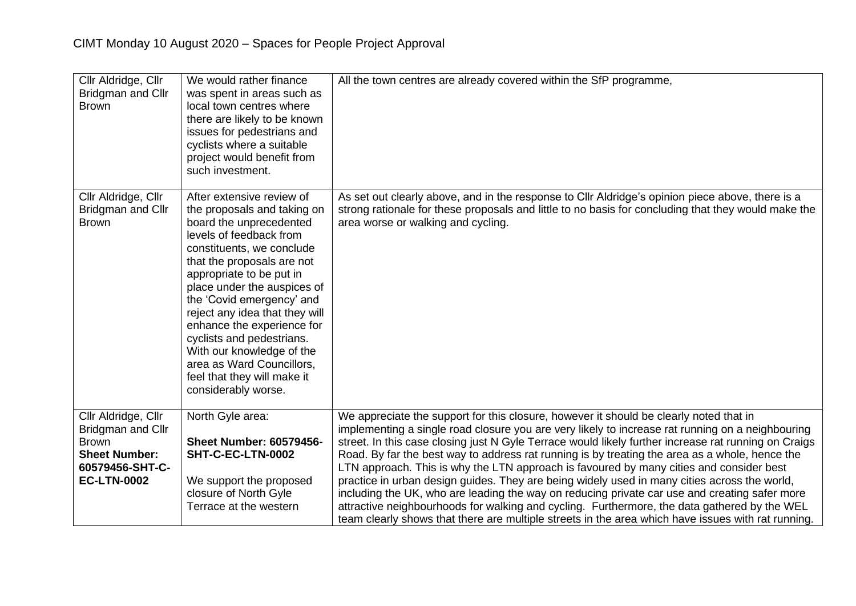| Cllr Aldridge, Cllr<br>Bridgman and Cllr<br><b>Brown</b>                                                                  | We would rather finance<br>was spent in areas such as<br>local town centres where<br>there are likely to be known<br>issues for pedestrians and<br>cyclists where a suitable<br>project would benefit from<br>such investment.                                                                                                                                                                                                                                                 | All the town centres are already covered within the SfP programme,                                                                                                                                                                                                                                                                                                                                                                                                                                                                                                                                                                                                                                                                                                                                                                                                                                     |
|---------------------------------------------------------------------------------------------------------------------------|--------------------------------------------------------------------------------------------------------------------------------------------------------------------------------------------------------------------------------------------------------------------------------------------------------------------------------------------------------------------------------------------------------------------------------------------------------------------------------|--------------------------------------------------------------------------------------------------------------------------------------------------------------------------------------------------------------------------------------------------------------------------------------------------------------------------------------------------------------------------------------------------------------------------------------------------------------------------------------------------------------------------------------------------------------------------------------------------------------------------------------------------------------------------------------------------------------------------------------------------------------------------------------------------------------------------------------------------------------------------------------------------------|
| Cllr Aldridge, Cllr<br>Bridgman and Cllr<br><b>Brown</b>                                                                  | After extensive review of<br>the proposals and taking on<br>board the unprecedented<br>levels of feedback from<br>constituents, we conclude<br>that the proposals are not<br>appropriate to be put in<br>place under the auspices of<br>the 'Covid emergency' and<br>reject any idea that they will<br>enhance the experience for<br>cyclists and pedestrians.<br>With our knowledge of the<br>area as Ward Councillors,<br>feel that they will make it<br>considerably worse. | As set out clearly above, and in the response to Cllr Aldridge's opinion piece above, there is a<br>strong rationale for these proposals and little to no basis for concluding that they would make the<br>area worse or walking and cycling.                                                                                                                                                                                                                                                                                                                                                                                                                                                                                                                                                                                                                                                          |
| Cllr Aldridge, Cllr<br>Bridgman and Cllr<br><b>Brown</b><br><b>Sheet Number:</b><br>60579456-SHT-C-<br><b>EC-LTN-0002</b> | North Gyle area:<br><b>Sheet Number: 60579456-</b><br>SHT-C-EC-LTN-0002<br>We support the proposed<br>closure of North Gyle<br>Terrace at the western                                                                                                                                                                                                                                                                                                                          | We appreciate the support for this closure, however it should be clearly noted that in<br>implementing a single road closure you are very likely to increase rat running on a neighbouring<br>street. In this case closing just N Gyle Terrace would likely further increase rat running on Craigs<br>Road. By far the best way to address rat running is by treating the area as a whole, hence the<br>LTN approach. This is why the LTN approach is favoured by many cities and consider best<br>practice in urban design guides. They are being widely used in many cities across the world,<br>including the UK, who are leading the way on reducing private car use and creating safer more<br>attractive neighbourhoods for walking and cycling. Furthermore, the data gathered by the WEL<br>team clearly shows that there are multiple streets in the area which have issues with rat running. |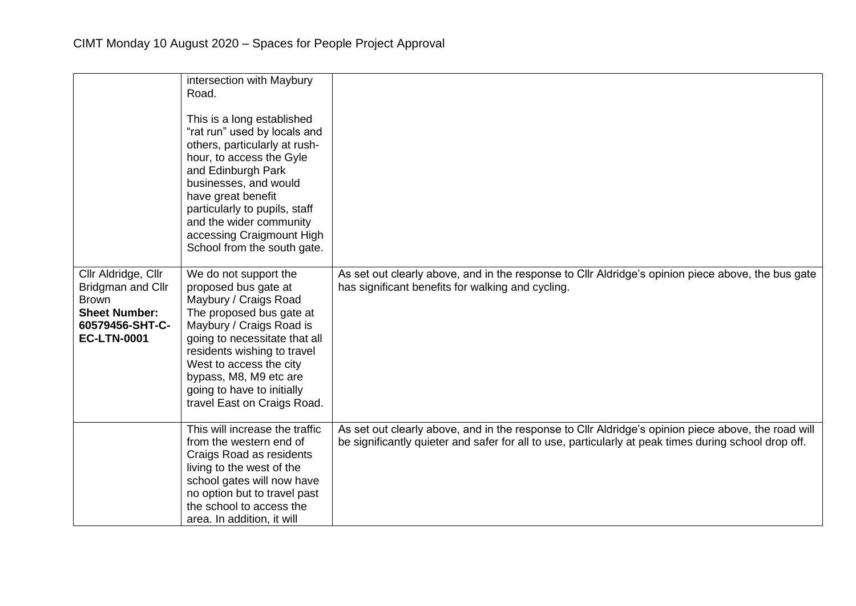|                                                                                                                           | intersection with Maybury<br>Road.<br>This is a long established<br>"rat run" used by locals and<br>others, particularly at rush-<br>hour, to access the Gyle<br>and Edinburgh Park<br>businesses, and would<br>have great benefit<br>particularly to pupils, staff<br>and the wider community<br>accessing Craigmount High<br>School from the south gate. |                                                                                                                                                                                                              |
|---------------------------------------------------------------------------------------------------------------------------|------------------------------------------------------------------------------------------------------------------------------------------------------------------------------------------------------------------------------------------------------------------------------------------------------------------------------------------------------------|--------------------------------------------------------------------------------------------------------------------------------------------------------------------------------------------------------------|
| Cllr Aldridge, Cllr<br>Bridgman and Cllr<br><b>Brown</b><br><b>Sheet Number:</b><br>60579456-SHT-C-<br><b>EC-LTN-0001</b> | We do not support the<br>proposed bus gate at<br>Maybury / Craigs Road<br>The proposed bus gate at<br>Maybury / Craigs Road is<br>going to necessitate that all<br>residents wishing to travel<br>West to access the city<br>bypass, M8, M9 etc are<br>going to have to initially<br>travel East on Craigs Road.                                           | As set out clearly above, and in the response to Cllr Aldridge's opinion piece above, the bus gate<br>has significant benefits for walking and cycling.                                                      |
|                                                                                                                           | This will increase the traffic<br>from the western end of<br>Craigs Road as residents<br>living to the west of the<br>school gates will now have<br>no option but to travel past<br>the school to access the<br>area. In addition, it will                                                                                                                 | As set out clearly above, and in the response to Cllr Aldridge's opinion piece above, the road will<br>be significantly quieter and safer for all to use, particularly at peak times during school drop off. |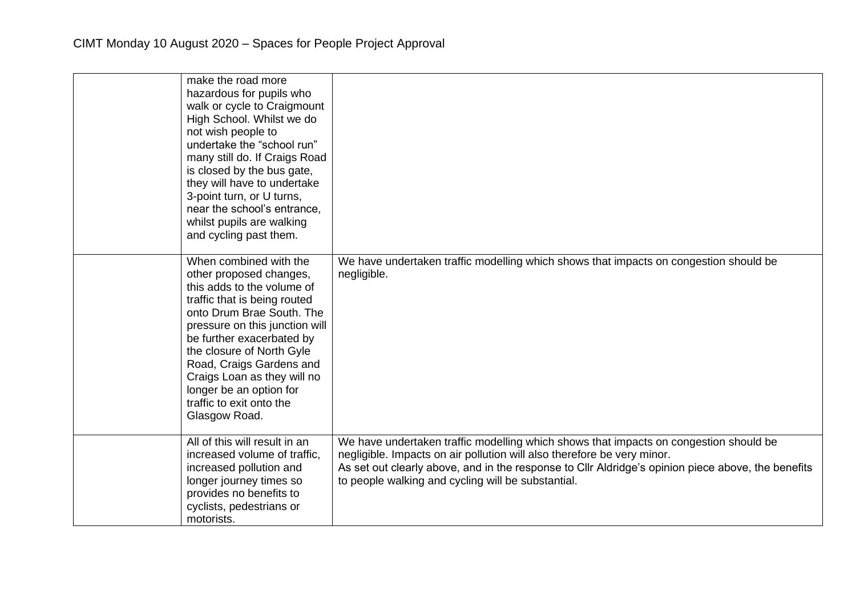| make the road more<br>hazardous for pupils who<br>walk or cycle to Craigmount<br>High School. Whilst we do<br>not wish people to<br>undertake the "school run"<br>many still do. If Craigs Road<br>is closed by the bus gate,<br>they will have to undertake<br>3-point turn, or U turns,<br>near the school's entrance,<br>whilst pupils are walking<br>and cycling past them. |                                                                                                                                                                                                                                                                                                                              |
|---------------------------------------------------------------------------------------------------------------------------------------------------------------------------------------------------------------------------------------------------------------------------------------------------------------------------------------------------------------------------------|------------------------------------------------------------------------------------------------------------------------------------------------------------------------------------------------------------------------------------------------------------------------------------------------------------------------------|
| When combined with the<br>other proposed changes,<br>this adds to the volume of<br>traffic that is being routed<br>onto Drum Brae South. The<br>pressure on this junction will<br>be further exacerbated by<br>the closure of North Gyle<br>Road, Craigs Gardens and<br>Craigs Loan as they will no<br>longer be an option for<br>traffic to exit onto the<br>Glasgow Road.     | We have undertaken traffic modelling which shows that impacts on congestion should be<br>negligible.                                                                                                                                                                                                                         |
| All of this will result in an<br>increased volume of traffic,<br>increased pollution and<br>longer journey times so<br>provides no benefits to<br>cyclists, pedestrians or<br>motorists.                                                                                                                                                                                        | We have undertaken traffic modelling which shows that impacts on congestion should be<br>negligible. Impacts on air pollution will also therefore be very minor.<br>As set out clearly above, and in the response to Cllr Aldridge's opinion piece above, the benefits<br>to people walking and cycling will be substantial. |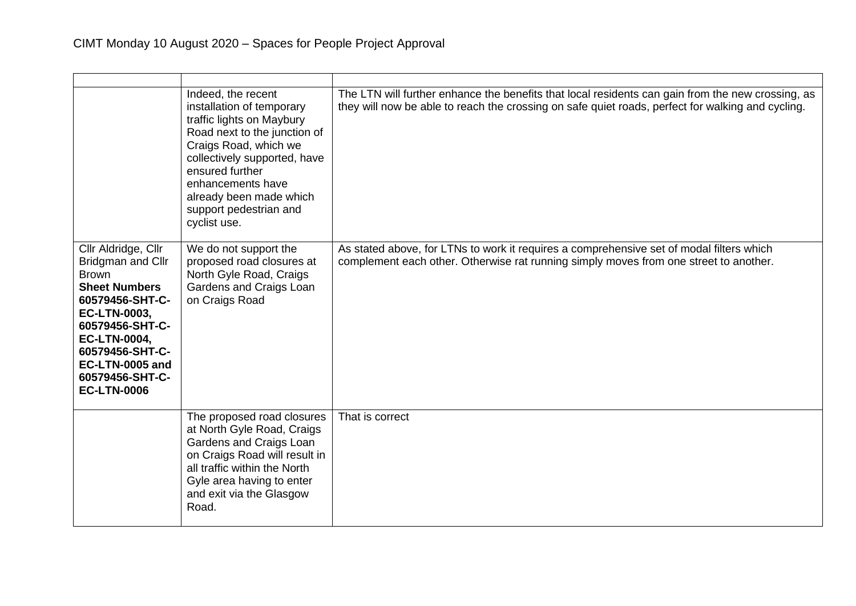|                                                                                                                                                                                                                                                     | Indeed, the recent<br>installation of temporary<br>traffic lights on Maybury<br>Road next to the junction of<br>Craigs Road, which we<br>collectively supported, have<br>ensured further<br>enhancements have<br>already been made which<br>support pedestrian and<br>cyclist use. | The LTN will further enhance the benefits that local residents can gain from the new crossing, as<br>they will now be able to reach the crossing on safe quiet roads, perfect for walking and cycling. |
|-----------------------------------------------------------------------------------------------------------------------------------------------------------------------------------------------------------------------------------------------------|------------------------------------------------------------------------------------------------------------------------------------------------------------------------------------------------------------------------------------------------------------------------------------|--------------------------------------------------------------------------------------------------------------------------------------------------------------------------------------------------------|
| Cllr Aldridge, Cllr<br>Bridgman and Cllr<br><b>Brown</b><br><b>Sheet Numbers</b><br>60579456-SHT-C-<br><b>EC-LTN-0003,</b><br>60579456-SHT-C-<br><b>EC-LTN-0004,</b><br>60579456-SHT-C-<br>EC-LTN-0005 and<br>60579456-SHT-C-<br><b>EC-LTN-0006</b> | We do not support the<br>proposed road closures at<br>North Gyle Road, Craigs<br>Gardens and Craigs Loan<br>on Craigs Road                                                                                                                                                         | As stated above, for LTNs to work it requires a comprehensive set of modal filters which<br>complement each other. Otherwise rat running simply moves from one street to another.                      |
|                                                                                                                                                                                                                                                     | The proposed road closures<br>at North Gyle Road, Craigs<br>Gardens and Craigs Loan<br>on Craigs Road will result in<br>all traffic within the North<br>Gyle area having to enter<br>and exit via the Glasgow<br>Road.                                                             | That is correct                                                                                                                                                                                        |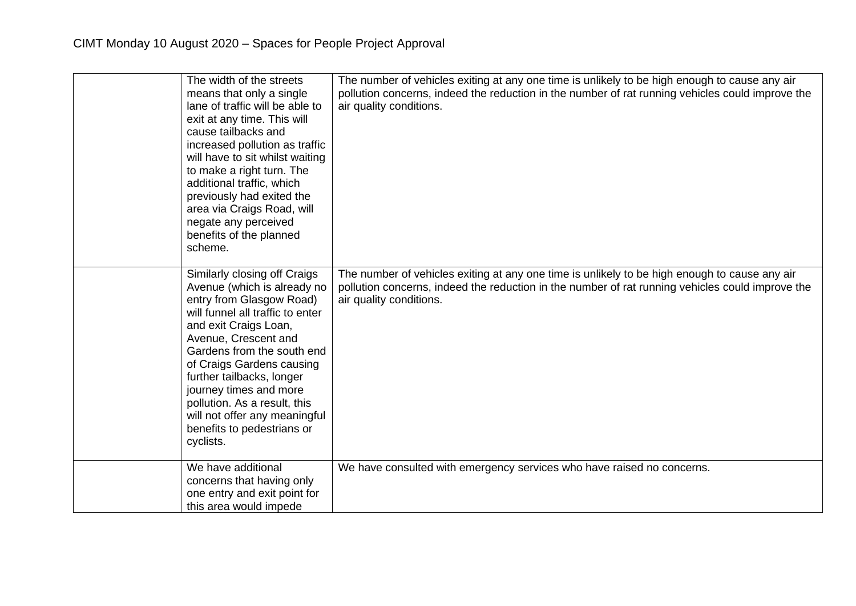| The width of the streets<br>means that only a single<br>lane of traffic will be able to<br>exit at any time. This will<br>cause tailbacks and<br>increased pollution as traffic<br>will have to sit whilst waiting<br>to make a right turn. The<br>additional traffic, which<br>previously had exited the<br>area via Craigs Road, will<br>negate any perceived<br>benefits of the planned<br>scheme.      | The number of vehicles exiting at any one time is unlikely to be high enough to cause any air<br>pollution concerns, indeed the reduction in the number of rat running vehicles could improve the<br>air quality conditions. |
|------------------------------------------------------------------------------------------------------------------------------------------------------------------------------------------------------------------------------------------------------------------------------------------------------------------------------------------------------------------------------------------------------------|------------------------------------------------------------------------------------------------------------------------------------------------------------------------------------------------------------------------------|
| Similarly closing off Craigs<br>Avenue (which is already no<br>entry from Glasgow Road)<br>will funnel all traffic to enter<br>and exit Craigs Loan,<br>Avenue, Crescent and<br>Gardens from the south end<br>of Craigs Gardens causing<br>further tailbacks, longer<br>journey times and more<br>pollution. As a result, this<br>will not offer any meaningful<br>benefits to pedestrians or<br>cyclists. | The number of vehicles exiting at any one time is unlikely to be high enough to cause any air<br>pollution concerns, indeed the reduction in the number of rat running vehicles could improve the<br>air quality conditions. |
| We have additional<br>concerns that having only<br>one entry and exit point for<br>this area would impede                                                                                                                                                                                                                                                                                                  | We have consulted with emergency services who have raised no concerns.                                                                                                                                                       |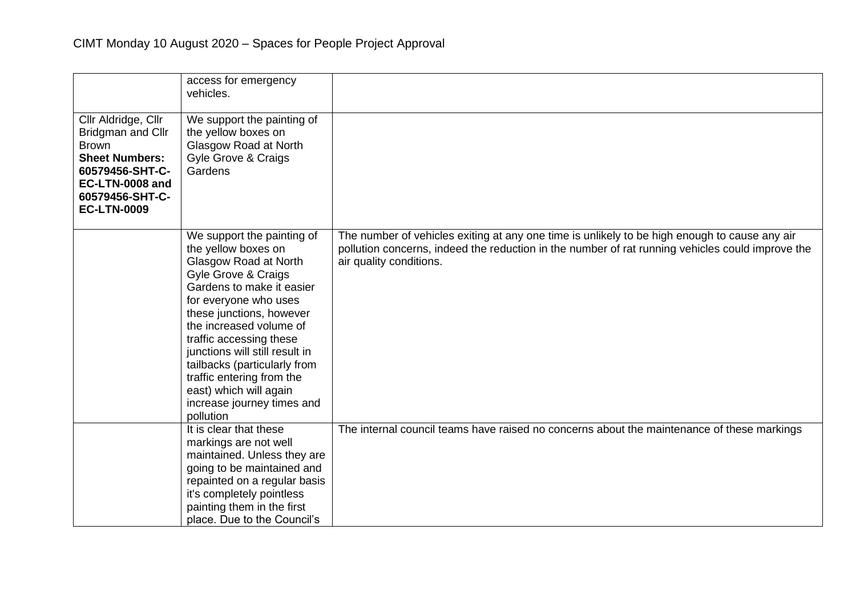|                                                                                                                                                                  | access for emergency<br>vehicles.                                                                                                                                                                                                                                                                                                                                                                             |                                                                                                                                                                                                                              |
|------------------------------------------------------------------------------------------------------------------------------------------------------------------|---------------------------------------------------------------------------------------------------------------------------------------------------------------------------------------------------------------------------------------------------------------------------------------------------------------------------------------------------------------------------------------------------------------|------------------------------------------------------------------------------------------------------------------------------------------------------------------------------------------------------------------------------|
| Cllr Aldridge, Cllr<br>Bridgman and Cllr<br><b>Brown</b><br><b>Sheet Numbers:</b><br>60579456-SHT-C-<br>EC-LTN-0008 and<br>60579456-SHT-C-<br><b>EC-LTN-0009</b> | We support the painting of<br>the yellow boxes on<br>Glasgow Road at North<br>Gyle Grove & Craigs<br>Gardens                                                                                                                                                                                                                                                                                                  |                                                                                                                                                                                                                              |
|                                                                                                                                                                  | We support the painting of<br>the yellow boxes on<br>Glasgow Road at North<br>Gyle Grove & Craigs<br>Gardens to make it easier<br>for everyone who uses<br>these junctions, however<br>the increased volume of<br>traffic accessing these<br>junctions will still result in<br>tailbacks (particularly from<br>traffic entering from the<br>east) which will again<br>increase journey times and<br>pollution | The number of vehicles exiting at any one time is unlikely to be high enough to cause any air<br>pollution concerns, indeed the reduction in the number of rat running vehicles could improve the<br>air quality conditions. |
|                                                                                                                                                                  | It is clear that these<br>markings are not well<br>maintained. Unless they are<br>going to be maintained and<br>repainted on a regular basis<br>it's completely pointless<br>painting them in the first<br>place. Due to the Council's                                                                                                                                                                        | The internal council teams have raised no concerns about the maintenance of these markings                                                                                                                                   |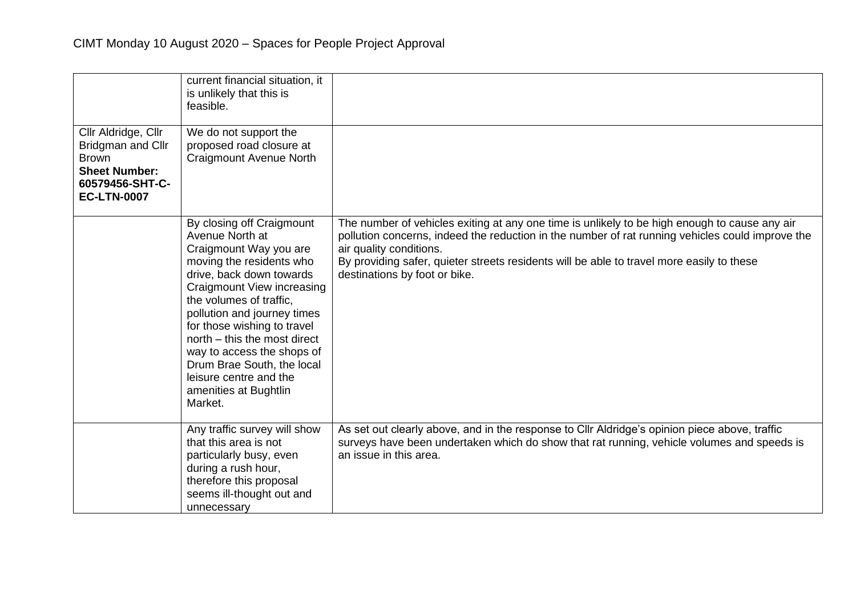|                                                                                                                           | current financial situation, it<br>is unlikely that this is<br>feasible.                                                                                                                                                                                                                                                                                                                                        |                                                                                                                                                                                                                                                                                                                                                            |
|---------------------------------------------------------------------------------------------------------------------------|-----------------------------------------------------------------------------------------------------------------------------------------------------------------------------------------------------------------------------------------------------------------------------------------------------------------------------------------------------------------------------------------------------------------|------------------------------------------------------------------------------------------------------------------------------------------------------------------------------------------------------------------------------------------------------------------------------------------------------------------------------------------------------------|
| Cllr Aldridge, Cllr<br>Bridgman and Cllr<br><b>Brown</b><br><b>Sheet Number:</b><br>60579456-SHT-C-<br><b>EC-LTN-0007</b> | We do not support the<br>proposed road closure at<br><b>Craigmount Avenue North</b>                                                                                                                                                                                                                                                                                                                             |                                                                                                                                                                                                                                                                                                                                                            |
|                                                                                                                           | By closing off Craigmount<br>Avenue North at<br>Craigmount Way you are<br>moving the residents who<br>drive, back down towards<br>Craigmount View increasing<br>the volumes of traffic,<br>pollution and journey times<br>for those wishing to travel<br>north – this the most direct<br>way to access the shops of<br>Drum Brae South, the local<br>leisure centre and the<br>amenities at Bughtlin<br>Market. | The number of vehicles exiting at any one time is unlikely to be high enough to cause any air<br>pollution concerns, indeed the reduction in the number of rat running vehicles could improve the<br>air quality conditions.<br>By providing safer, quieter streets residents will be able to travel more easily to these<br>destinations by foot or bike. |
|                                                                                                                           | Any traffic survey will show<br>that this area is not<br>particularly busy, even<br>during a rush hour,<br>therefore this proposal<br>seems ill-thought out and<br>unnecessary                                                                                                                                                                                                                                  | As set out clearly above, and in the response to Cllr Aldridge's opinion piece above, traffic<br>surveys have been undertaken which do show that rat running, vehicle volumes and speeds is<br>an issue in this area.                                                                                                                                      |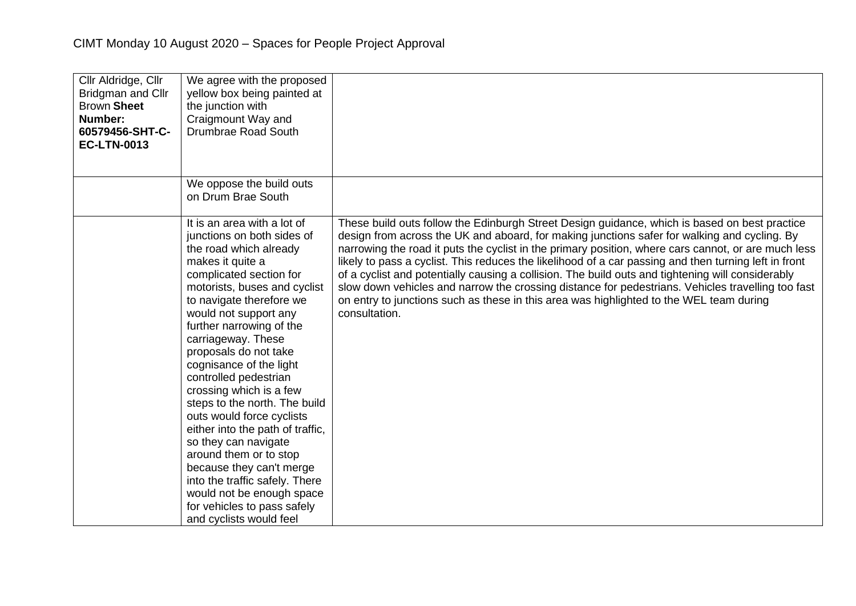| Cllr Aldridge, Cllr<br><b>Bridgman and Cllr</b><br><b>Brown Sheet</b><br>Number:<br>60579456-SHT-C-<br><b>EC-LTN-0013</b> | We agree with the proposed<br>yellow box being painted at<br>the junction with<br>Craigmount Way and<br>Drumbrae Road South                                                                                                                                                                                                                                                                                                                                                                                                                                                                                                                                                                |                                                                                                                                                                                                                                                                                                                                                                                                                                                                                                                                                                                                                                                                                                                                     |
|---------------------------------------------------------------------------------------------------------------------------|--------------------------------------------------------------------------------------------------------------------------------------------------------------------------------------------------------------------------------------------------------------------------------------------------------------------------------------------------------------------------------------------------------------------------------------------------------------------------------------------------------------------------------------------------------------------------------------------------------------------------------------------------------------------------------------------|-------------------------------------------------------------------------------------------------------------------------------------------------------------------------------------------------------------------------------------------------------------------------------------------------------------------------------------------------------------------------------------------------------------------------------------------------------------------------------------------------------------------------------------------------------------------------------------------------------------------------------------------------------------------------------------------------------------------------------------|
|                                                                                                                           | We oppose the build outs<br>on Drum Brae South                                                                                                                                                                                                                                                                                                                                                                                                                                                                                                                                                                                                                                             |                                                                                                                                                                                                                                                                                                                                                                                                                                                                                                                                                                                                                                                                                                                                     |
|                                                                                                                           | It is an area with a lot of<br>junctions on both sides of<br>the road which already<br>makes it quite a<br>complicated section for<br>motorists, buses and cyclist<br>to navigate therefore we<br>would not support any<br>further narrowing of the<br>carriageway. These<br>proposals do not take<br>cognisance of the light<br>controlled pedestrian<br>crossing which is a few<br>steps to the north. The build<br>outs would force cyclists<br>either into the path of traffic,<br>so they can navigate<br>around them or to stop<br>because they can't merge<br>into the traffic safely. There<br>would not be enough space<br>for vehicles to pass safely<br>and cyclists would feel | These build outs follow the Edinburgh Street Design guidance, which is based on best practice<br>design from across the UK and aboard, for making junctions safer for walking and cycling. By<br>narrowing the road it puts the cyclist in the primary position, where cars cannot, or are much less<br>likely to pass a cyclist. This reduces the likelihood of a car passing and then turning left in front<br>of a cyclist and potentially causing a collision. The build outs and tightening will considerably<br>slow down vehicles and narrow the crossing distance for pedestrians. Vehicles travelling too fast<br>on entry to junctions such as these in this area was highlighted to the WEL team during<br>consultation. |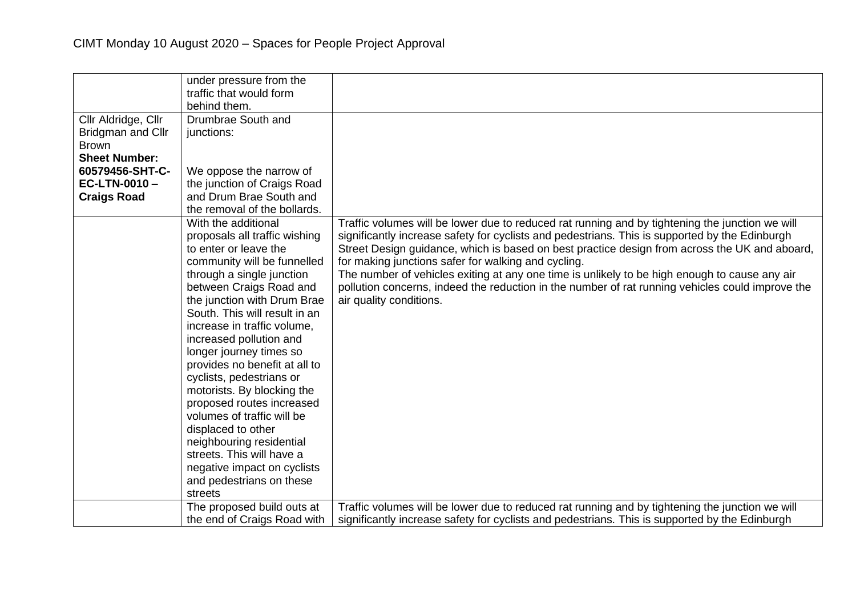|                                                                 | under pressure from the<br>traffic that would form<br>behind them. |                                                                                                                                                                                                 |
|-----------------------------------------------------------------|--------------------------------------------------------------------|-------------------------------------------------------------------------------------------------------------------------------------------------------------------------------------------------|
| Cllr Aldridge, Cllr<br><b>Bridgman and Cllr</b><br><b>Brown</b> | Drumbrae South and<br>junctions:                                   |                                                                                                                                                                                                 |
| <b>Sheet Number:</b>                                            |                                                                    |                                                                                                                                                                                                 |
| 60579456-SHT-C-                                                 | We oppose the narrow of                                            |                                                                                                                                                                                                 |
| EC-LTN-0010-                                                    | the junction of Craigs Road                                        |                                                                                                                                                                                                 |
| <b>Craigs Road</b>                                              | and Drum Brae South and                                            |                                                                                                                                                                                                 |
|                                                                 | the removal of the bollards.                                       |                                                                                                                                                                                                 |
|                                                                 | With the additional                                                | Traffic volumes will be lower due to reduced rat running and by tightening the junction we will                                                                                                 |
|                                                                 | proposals all traffic wishing<br>to enter or leave the             | significantly increase safety for cyclists and pedestrians. This is supported by the Edinburgh<br>Street Design guidance, which is based on best practice design from across the UK and aboard, |
|                                                                 | community will be funnelled                                        | for making junctions safer for walking and cycling.                                                                                                                                             |
|                                                                 | through a single junction                                          | The number of vehicles exiting at any one time is unlikely to be high enough to cause any air                                                                                                   |
|                                                                 | between Craigs Road and                                            | pollution concerns, indeed the reduction in the number of rat running vehicles could improve the                                                                                                |
|                                                                 | the junction with Drum Brae                                        | air quality conditions.                                                                                                                                                                         |
|                                                                 | South. This will result in an                                      |                                                                                                                                                                                                 |
|                                                                 | increase in traffic volume,                                        |                                                                                                                                                                                                 |
|                                                                 | increased pollution and                                            |                                                                                                                                                                                                 |
|                                                                 | longer journey times so                                            |                                                                                                                                                                                                 |
|                                                                 | provides no benefit at all to                                      |                                                                                                                                                                                                 |
|                                                                 | cyclists, pedestrians or                                           |                                                                                                                                                                                                 |
|                                                                 | motorists. By blocking the                                         |                                                                                                                                                                                                 |
|                                                                 | proposed routes increased                                          |                                                                                                                                                                                                 |
|                                                                 | volumes of traffic will be                                         |                                                                                                                                                                                                 |
|                                                                 | displaced to other                                                 |                                                                                                                                                                                                 |
|                                                                 | neighbouring residential<br>streets. This will have a              |                                                                                                                                                                                                 |
|                                                                 | negative impact on cyclists                                        |                                                                                                                                                                                                 |
|                                                                 | and pedestrians on these                                           |                                                                                                                                                                                                 |
|                                                                 | streets                                                            |                                                                                                                                                                                                 |
|                                                                 | The proposed build outs at                                         | Traffic volumes will be lower due to reduced rat running and by tightening the junction we will                                                                                                 |
|                                                                 | the end of Craigs Road with                                        | significantly increase safety for cyclists and pedestrians. This is supported by the Edinburgh                                                                                                  |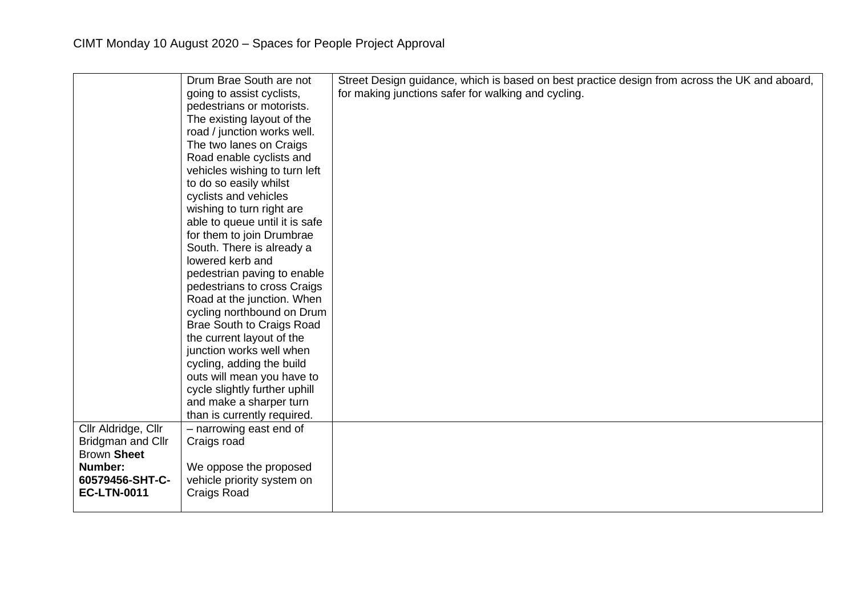|                                         | Drum Brae South are not          | Street Design guidance, which is based on best practice design from across the UK and aboard, |
|-----------------------------------------|----------------------------------|-----------------------------------------------------------------------------------------------|
|                                         | going to assist cyclists,        | for making junctions safer for walking and cycling.                                           |
|                                         | pedestrians or motorists.        |                                                                                               |
|                                         |                                  |                                                                                               |
|                                         | The existing layout of the       |                                                                                               |
|                                         | road / junction works well.      |                                                                                               |
|                                         | The two lanes on Craigs          |                                                                                               |
|                                         | Road enable cyclists and         |                                                                                               |
|                                         | vehicles wishing to turn left    |                                                                                               |
|                                         | to do so easily whilst           |                                                                                               |
|                                         | cyclists and vehicles            |                                                                                               |
|                                         | wishing to turn right are        |                                                                                               |
|                                         | able to queue until it is safe   |                                                                                               |
|                                         | for them to join Drumbrae        |                                                                                               |
|                                         | South. There is already a        |                                                                                               |
|                                         | lowered kerb and                 |                                                                                               |
|                                         | pedestrian paving to enable      |                                                                                               |
|                                         | pedestrians to cross Craigs      |                                                                                               |
|                                         | Road at the junction. When       |                                                                                               |
|                                         | cycling northbound on Drum       |                                                                                               |
|                                         | <b>Brae South to Craigs Road</b> |                                                                                               |
|                                         | the current layout of the        |                                                                                               |
|                                         | junction works well when         |                                                                                               |
|                                         | cycling, adding the build        |                                                                                               |
|                                         | outs will mean you have to       |                                                                                               |
|                                         | cycle slightly further uphill    |                                                                                               |
|                                         | and make a sharper turn          |                                                                                               |
|                                         | than is currently required.      |                                                                                               |
| Cllr Aldridge, Cllr                     | - narrowing east end of          |                                                                                               |
|                                         |                                  |                                                                                               |
| Bridgman and Cllr<br><b>Brown Sheet</b> | Craigs road                      |                                                                                               |
|                                         |                                  |                                                                                               |
| Number:                                 | We oppose the proposed           |                                                                                               |
| 60579456-SHT-C-                         | vehicle priority system on       |                                                                                               |
| <b>EC-LTN-0011</b>                      | Craigs Road                      |                                                                                               |
|                                         |                                  |                                                                                               |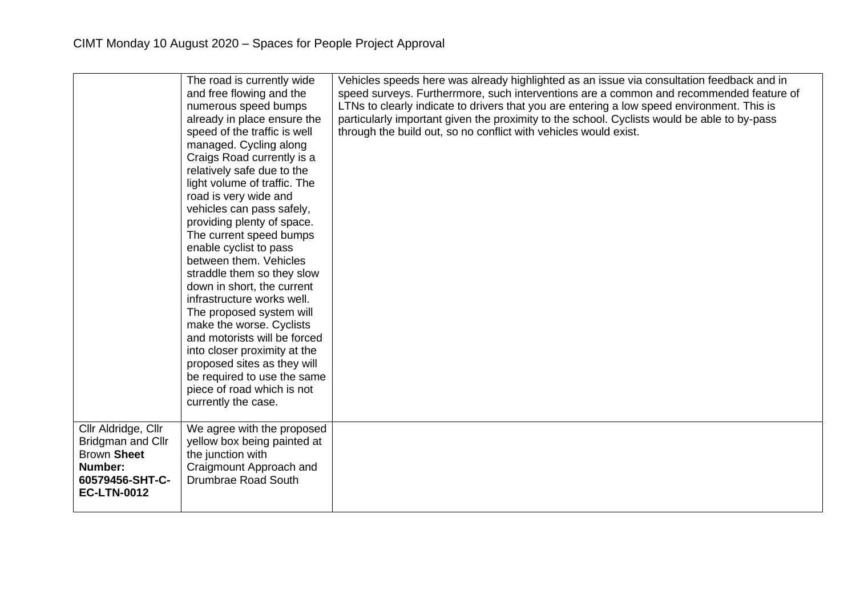|                                                                                                                    | The road is currently wide<br>and free flowing and the<br>numerous speed bumps<br>already in place ensure the<br>speed of the traffic is well<br>managed. Cycling along<br>Craigs Road currently is a<br>relatively safe due to the<br>light volume of traffic. The<br>road is very wide and<br>vehicles can pass safely,<br>providing plenty of space.<br>The current speed bumps<br>enable cyclist to pass<br>between them. Vehicles<br>straddle them so they slow<br>down in short, the current<br>infrastructure works well.<br>The proposed system will<br>make the worse. Cyclists<br>and motorists will be forced<br>into closer proximity at the<br>proposed sites as they will<br>be required to use the same<br>piece of road which is not<br>currently the case. | Vehicles speeds here was already highlighted as an issue via consultation feedback and in<br>speed surveys. Furtherrmore, such interventions are a common and recommended feature of<br>LTNs to clearly indicate to drivers that you are entering a low speed environment. This is<br>particularly important given the proximity to the school. Cyclists would be able to by-pass<br>through the build out, so no conflict with vehicles would exist. |
|--------------------------------------------------------------------------------------------------------------------|-----------------------------------------------------------------------------------------------------------------------------------------------------------------------------------------------------------------------------------------------------------------------------------------------------------------------------------------------------------------------------------------------------------------------------------------------------------------------------------------------------------------------------------------------------------------------------------------------------------------------------------------------------------------------------------------------------------------------------------------------------------------------------|-------------------------------------------------------------------------------------------------------------------------------------------------------------------------------------------------------------------------------------------------------------------------------------------------------------------------------------------------------------------------------------------------------------------------------------------------------|
| Cllr Aldridge, Cllr<br>Bridgman and Cllr<br><b>Brown Sheet</b><br>Number:<br>60579456-SHT-C-<br><b>EC-LTN-0012</b> | We agree with the proposed<br>yellow box being painted at<br>the junction with<br>Craigmount Approach and<br>Drumbrae Road South                                                                                                                                                                                                                                                                                                                                                                                                                                                                                                                                                                                                                                            |                                                                                                                                                                                                                                                                                                                                                                                                                                                       |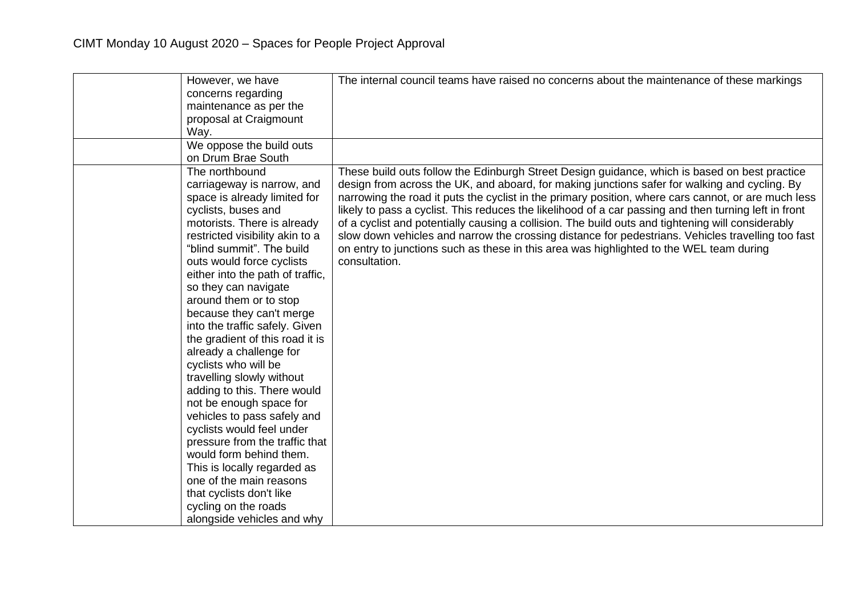| However, we have                                             | The internal council teams have raised no concerns about the maintenance of these markings               |
|--------------------------------------------------------------|----------------------------------------------------------------------------------------------------------|
| concerns regarding<br>maintenance as per the                 |                                                                                                          |
| proposal at Craigmount                                       |                                                                                                          |
| Way.                                                         |                                                                                                          |
| We oppose the build outs                                     |                                                                                                          |
| on Drum Brae South                                           |                                                                                                          |
| The northbound                                               | These build outs follow the Edinburgh Street Design guidance, which is based on best practice            |
| carriageway is narrow, and                                   | design from across the UK, and aboard, for making junctions safer for walking and cycling. By            |
| space is already limited for                                 | narrowing the road it puts the cyclist in the primary position, where cars cannot, or are much less      |
| cyclists, buses and                                          | likely to pass a cyclist. This reduces the likelihood of a car passing and then turning left in front    |
| motorists. There is already                                  | of a cyclist and potentially causing a collision. The build outs and tightening will considerably        |
| restricted visibility akin to a<br>"blind summit". The build | slow down vehicles and narrow the crossing distance for pedestrians. Vehicles travelling too fast        |
| outs would force cyclists                                    | on entry to junctions such as these in this area was highlighted to the WEL team during<br>consultation. |
| either into the path of traffic,                             |                                                                                                          |
| so they can navigate                                         |                                                                                                          |
| around them or to stop                                       |                                                                                                          |
| because they can't merge                                     |                                                                                                          |
| into the traffic safely. Given                               |                                                                                                          |
| the gradient of this road it is                              |                                                                                                          |
| already a challenge for                                      |                                                                                                          |
| cyclists who will be                                         |                                                                                                          |
| travelling slowly without                                    |                                                                                                          |
| adding to this. There would                                  |                                                                                                          |
| not be enough space for                                      |                                                                                                          |
| vehicles to pass safely and                                  |                                                                                                          |
| cyclists would feel under<br>pressure from the traffic that  |                                                                                                          |
| would form behind them.                                      |                                                                                                          |
| This is locally regarded as                                  |                                                                                                          |
| one of the main reasons                                      |                                                                                                          |
| that cyclists don't like                                     |                                                                                                          |
| cycling on the roads                                         |                                                                                                          |
| alongside vehicles and why                                   |                                                                                                          |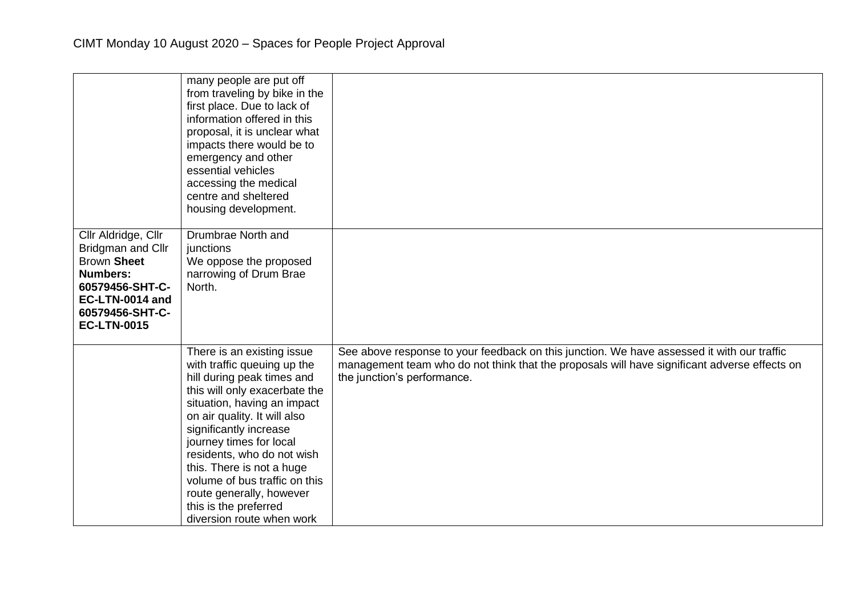|                                                                                                                                                                  | many people are put off<br>from traveling by bike in the<br>first place. Due to lack of<br>information offered in this<br>proposal, it is unclear what<br>impacts there would be to<br>emergency and other<br>essential vehicles<br>accessing the medical<br>centre and sheltered<br>housing development.                                                                                                                  |                                                                                                                                                                                                                           |
|------------------------------------------------------------------------------------------------------------------------------------------------------------------|----------------------------------------------------------------------------------------------------------------------------------------------------------------------------------------------------------------------------------------------------------------------------------------------------------------------------------------------------------------------------------------------------------------------------|---------------------------------------------------------------------------------------------------------------------------------------------------------------------------------------------------------------------------|
| Cllr Aldridge, Cllr<br>Bridgman and Cllr<br><b>Brown Sheet</b><br><b>Numbers:</b><br>60579456-SHT-C-<br>EC-LTN-0014 and<br>60579456-SHT-C-<br><b>EC-LTN-0015</b> | Drumbrae North and<br>junctions<br>We oppose the proposed<br>narrowing of Drum Brae<br>North.                                                                                                                                                                                                                                                                                                                              |                                                                                                                                                                                                                           |
|                                                                                                                                                                  | There is an existing issue<br>with traffic queuing up the<br>hill during peak times and<br>this will only exacerbate the<br>situation, having an impact<br>on air quality. It will also<br>significantly increase<br>journey times for local<br>residents, who do not wish<br>this. There is not a huge<br>volume of bus traffic on this<br>route generally, however<br>this is the preferred<br>diversion route when work | See above response to your feedback on this junction. We have assessed it with our traffic<br>management team who do not think that the proposals will have significant adverse effects on<br>the junction's performance. |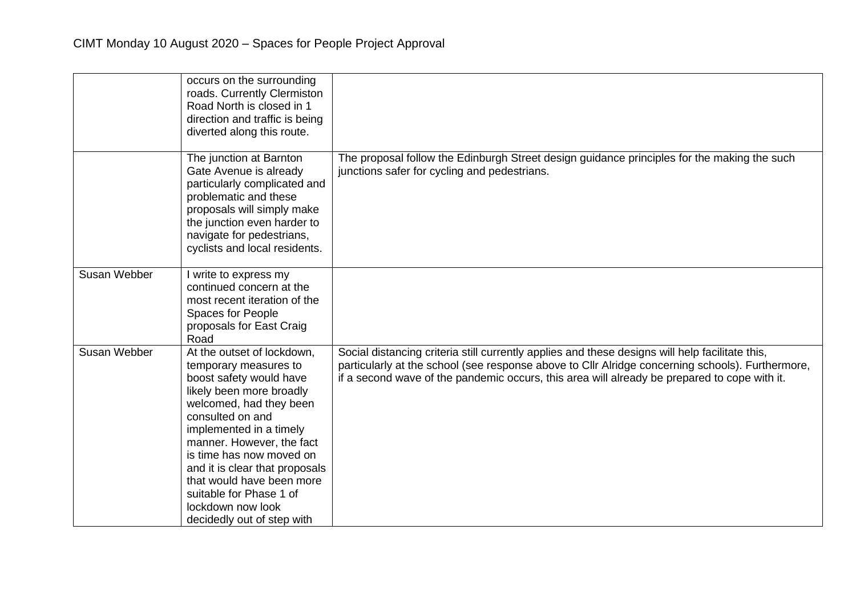|              | occurs on the surrounding<br>roads. Currently Clermiston<br>Road North is closed in 1<br>direction and traffic is being<br>diverted along this route.                                                                                                                                                                                                                                      |                                                                                                                                                                                                                                                                                                     |
|--------------|--------------------------------------------------------------------------------------------------------------------------------------------------------------------------------------------------------------------------------------------------------------------------------------------------------------------------------------------------------------------------------------------|-----------------------------------------------------------------------------------------------------------------------------------------------------------------------------------------------------------------------------------------------------------------------------------------------------|
|              | The junction at Barnton<br>Gate Avenue is already<br>particularly complicated and<br>problematic and these<br>proposals will simply make<br>the junction even harder to<br>navigate for pedestrians,<br>cyclists and local residents.                                                                                                                                                      | The proposal follow the Edinburgh Street design guidance principles for the making the such<br>junctions safer for cycling and pedestrians.                                                                                                                                                         |
| Susan Webber | I write to express my<br>continued concern at the<br>most recent iteration of the<br>Spaces for People<br>proposals for East Craig<br>Road                                                                                                                                                                                                                                                 |                                                                                                                                                                                                                                                                                                     |
| Susan Webber | At the outset of lockdown,<br>temporary measures to<br>boost safety would have<br>likely been more broadly<br>welcomed, had they been<br>consulted on and<br>implemented in a timely<br>manner. However, the fact<br>is time has now moved on<br>and it is clear that proposals<br>that would have been more<br>suitable for Phase 1 of<br>lockdown now look<br>decidedly out of step with | Social distancing criteria still currently applies and these designs will help facilitate this,<br>particularly at the school (see response above to Cllr Alridge concerning schools). Furthermore,<br>if a second wave of the pandemic occurs, this area will already be prepared to cope with it. |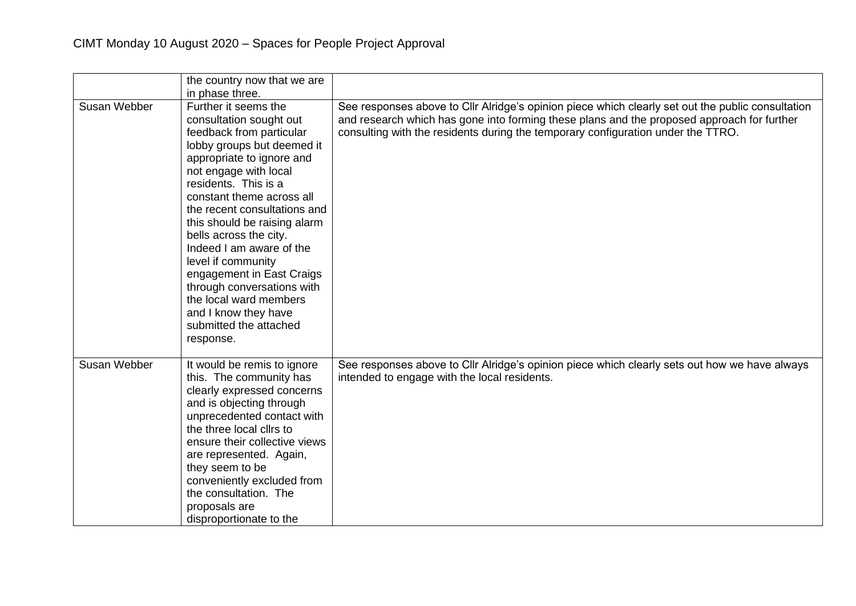|              | the country now that we are<br>in phase three.                                                                                                                                                                                                                                                                                                                                                                                                                                                                       |                                                                                                                                                                                                                                                                                     |
|--------------|----------------------------------------------------------------------------------------------------------------------------------------------------------------------------------------------------------------------------------------------------------------------------------------------------------------------------------------------------------------------------------------------------------------------------------------------------------------------------------------------------------------------|-------------------------------------------------------------------------------------------------------------------------------------------------------------------------------------------------------------------------------------------------------------------------------------|
| Susan Webber | Further it seems the<br>consultation sought out<br>feedback from particular<br>lobby groups but deemed it<br>appropriate to ignore and<br>not engage with local<br>residents. This is a<br>constant theme across all<br>the recent consultations and<br>this should be raising alarm<br>bells across the city.<br>Indeed I am aware of the<br>level if community<br>engagement in East Craigs<br>through conversations with<br>the local ward members<br>and I know they have<br>submitted the attached<br>response. | See responses above to Cllr Alridge's opinion piece which clearly set out the public consultation<br>and research which has gone into forming these plans and the proposed approach for further<br>consulting with the residents during the temporary configuration under the TTRO. |
| Susan Webber | It would be remis to ignore<br>this. The community has<br>clearly expressed concerns<br>and is objecting through<br>unprecedented contact with<br>the three local cllrs to<br>ensure their collective views<br>are represented. Again,<br>they seem to be<br>conveniently excluded from<br>the consultation. The<br>proposals are<br>disproportionate to the                                                                                                                                                         | See responses above to Cllr Alridge's opinion piece which clearly sets out how we have always<br>intended to engage with the local residents.                                                                                                                                       |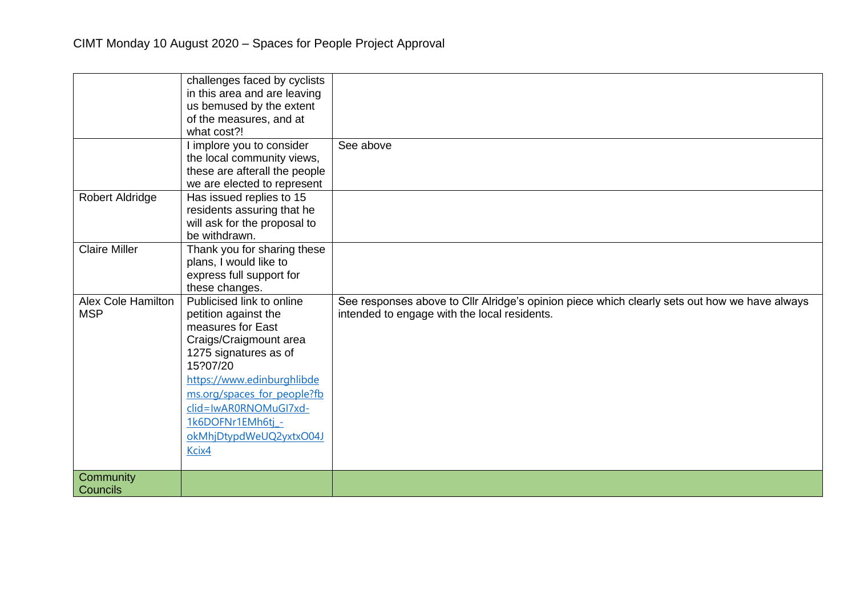|                                         | challenges faced by cyclists<br>in this area and are leaving<br>us bemused by the extent<br>of the measures, and at<br>what cost?!                                                                                                                                                   | See above                                                                                                                                     |
|-----------------------------------------|--------------------------------------------------------------------------------------------------------------------------------------------------------------------------------------------------------------------------------------------------------------------------------------|-----------------------------------------------------------------------------------------------------------------------------------------------|
|                                         | I implore you to consider<br>the local community views,<br>these are afterall the people<br>we are elected to represent                                                                                                                                                              |                                                                                                                                               |
| Robert Aldridge                         | Has issued replies to 15<br>residents assuring that he<br>will ask for the proposal to<br>be withdrawn.                                                                                                                                                                              |                                                                                                                                               |
| <b>Claire Miller</b>                    | Thank you for sharing these<br>plans, I would like to<br>express full support for<br>these changes.                                                                                                                                                                                  |                                                                                                                                               |
| <b>Alex Cole Hamilton</b><br><b>MSP</b> | Publicised link to online<br>petition against the<br>measures for East<br>Craigs/Craigmount area<br>1275 signatures as of<br>15?07/20<br>https://www.edinburghlibde<br>ms.org/spaces_for_people?fb<br>clid=IwAR0RNOMuGI7xd-<br>1k6DOFNr1EMh6tj -<br>okMhjDtypdWeUQ2yxtxO04J<br>Kcix4 | See responses above to Cllr Alridge's opinion piece which clearly sets out how we have always<br>intended to engage with the local residents. |
| Community<br>Councils                   |                                                                                                                                                                                                                                                                                      |                                                                                                                                               |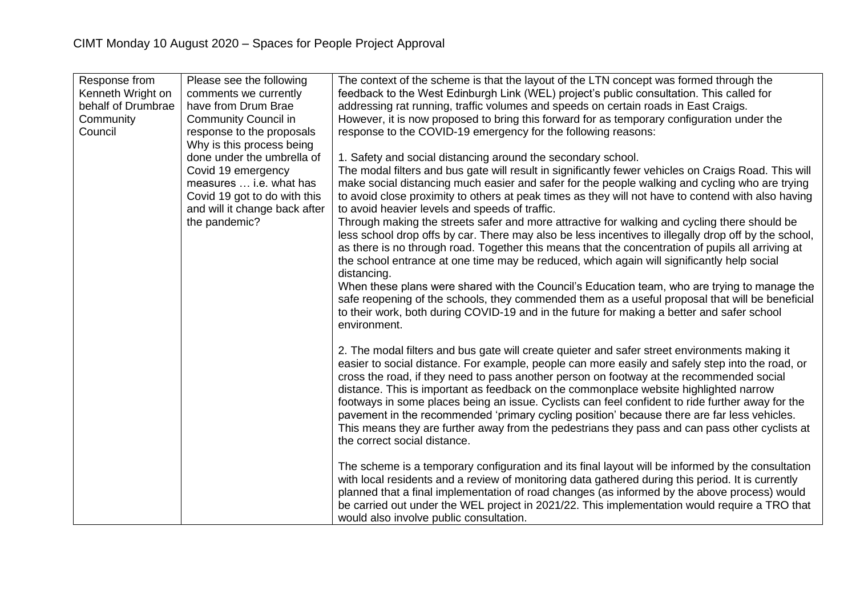| Response from<br>Kenneth Wright on<br>behalf of Drumbrae<br>Community<br>Council | Please see the following<br>comments we currently<br>have from Drum Brae<br><b>Community Council in</b><br>response to the proposals<br>Why is this process being | The context of the scheme is that the layout of the LTN concept was formed through the<br>feedback to the West Edinburgh Link (WEL) project's public consultation. This called for<br>addressing rat running, traffic volumes and speeds on certain roads in East Craigs.<br>However, it is now proposed to bring this forward for as temporary configuration under the<br>response to the COVID-19 emergency for the following reasons:                                                                                                                                                                                                                                                                                    |
|----------------------------------------------------------------------------------|-------------------------------------------------------------------------------------------------------------------------------------------------------------------|-----------------------------------------------------------------------------------------------------------------------------------------------------------------------------------------------------------------------------------------------------------------------------------------------------------------------------------------------------------------------------------------------------------------------------------------------------------------------------------------------------------------------------------------------------------------------------------------------------------------------------------------------------------------------------------------------------------------------------|
|                                                                                  | done under the umbrella of<br>Covid 19 emergency<br>measures  i.e. what has<br>Covid 19 got to do with this<br>and will it change back after<br>the pandemic?     | 1. Safety and social distancing around the secondary school.<br>The modal filters and bus gate will result in significantly fewer vehicles on Craigs Road. This will<br>make social distancing much easier and safer for the people walking and cycling who are trying<br>to avoid close proximity to others at peak times as they will not have to contend with also having<br>to avoid heavier levels and speeds of traffic.<br>Through making the streets safer and more attractive for walking and cycling there should be                                                                                                                                                                                              |
|                                                                                  |                                                                                                                                                                   | less school drop offs by car. There may also be less incentives to illegally drop off by the school,<br>as there is no through road. Together this means that the concentration of pupils all arriving at<br>the school entrance at one time may be reduced, which again will significantly help social<br>distancing.<br>When these plans were shared with the Council's Education team, who are trying to manage the                                                                                                                                                                                                                                                                                                      |
|                                                                                  |                                                                                                                                                                   | safe reopening of the schools, they commended them as a useful proposal that will be beneficial<br>to their work, both during COVID-19 and in the future for making a better and safer school<br>environment.                                                                                                                                                                                                                                                                                                                                                                                                                                                                                                               |
|                                                                                  |                                                                                                                                                                   | 2. The modal filters and bus gate will create quieter and safer street environments making it<br>easier to social distance. For example, people can more easily and safely step into the road, or<br>cross the road, if they need to pass another person on footway at the recommended social<br>distance. This is important as feedback on the commonplace website highlighted narrow<br>footways in some places being an issue. Cyclists can feel confident to ride further away for the<br>pavement in the recommended 'primary cycling position' because there are far less vehicles.<br>This means they are further away from the pedestrians they pass and can pass other cyclists at<br>the correct social distance. |
|                                                                                  |                                                                                                                                                                   | The scheme is a temporary configuration and its final layout will be informed by the consultation<br>with local residents and a review of monitoring data gathered during this period. It is currently<br>planned that a final implementation of road changes (as informed by the above process) would<br>be carried out under the WEL project in 2021/22. This implementation would require a TRO that<br>would also involve public consultation.                                                                                                                                                                                                                                                                          |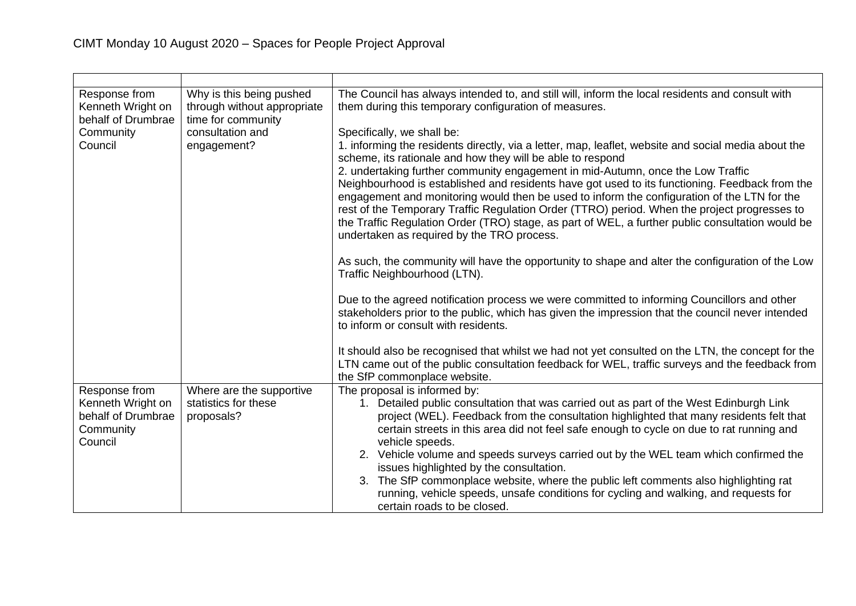| Response from<br>Kenneth Wright on<br>behalf of Drumbrae<br>Community<br>Council | Why is this being pushed<br>through without appropriate<br>time for community<br>consultation and<br>engagement? | The Council has always intended to, and still will, inform the local residents and consult with<br>them during this temporary configuration of measures.<br>Specifically, we shall be:<br>1. informing the residents directly, via a letter, map, leaflet, website and social media about the<br>scheme, its rationale and how they will be able to respond<br>2. undertaking further community engagement in mid-Autumn, once the Low Traffic<br>Neighbourhood is established and residents have got used to its functioning. Feedback from the |
|----------------------------------------------------------------------------------|------------------------------------------------------------------------------------------------------------------|--------------------------------------------------------------------------------------------------------------------------------------------------------------------------------------------------------------------------------------------------------------------------------------------------------------------------------------------------------------------------------------------------------------------------------------------------------------------------------------------------------------------------------------------------|
|                                                                                  |                                                                                                                  | engagement and monitoring would then be used to inform the configuration of the LTN for the<br>rest of the Temporary Traffic Regulation Order (TTRO) period. When the project progresses to<br>the Traffic Regulation Order (TRO) stage, as part of WEL, a further public consultation would be<br>undertaken as required by the TRO process.                                                                                                                                                                                                    |
|                                                                                  |                                                                                                                  | As such, the community will have the opportunity to shape and alter the configuration of the Low<br>Traffic Neighbourhood (LTN).                                                                                                                                                                                                                                                                                                                                                                                                                 |
|                                                                                  |                                                                                                                  | Due to the agreed notification process we were committed to informing Councillors and other<br>stakeholders prior to the public, which has given the impression that the council never intended<br>to inform or consult with residents.                                                                                                                                                                                                                                                                                                          |
|                                                                                  |                                                                                                                  | It should also be recognised that whilst we had not yet consulted on the LTN, the concept for the<br>LTN came out of the public consultation feedback for WEL, traffic surveys and the feedback from<br>the SfP commonplace website.                                                                                                                                                                                                                                                                                                             |
| Response from                                                                    | Where are the supportive                                                                                         | The proposal is informed by:                                                                                                                                                                                                                                                                                                                                                                                                                                                                                                                     |
| Kenneth Wright on                                                                | statistics for these                                                                                             | Detailed public consultation that was carried out as part of the West Edinburgh Link<br>1.                                                                                                                                                                                                                                                                                                                                                                                                                                                       |
| behalf of Drumbrae                                                               | proposals?                                                                                                       | project (WEL). Feedback from the consultation highlighted that many residents felt that                                                                                                                                                                                                                                                                                                                                                                                                                                                          |
| Community<br>Council                                                             |                                                                                                                  | certain streets in this area did not feel safe enough to cycle on due to rat running and<br>vehicle speeds.                                                                                                                                                                                                                                                                                                                                                                                                                                      |
|                                                                                  |                                                                                                                  | 2. Vehicle volume and speeds surveys carried out by the WEL team which confirmed the                                                                                                                                                                                                                                                                                                                                                                                                                                                             |
|                                                                                  |                                                                                                                  | issues highlighted by the consultation.                                                                                                                                                                                                                                                                                                                                                                                                                                                                                                          |
|                                                                                  |                                                                                                                  | 3. The SfP commonplace website, where the public left comments also highlighting rat                                                                                                                                                                                                                                                                                                                                                                                                                                                             |
|                                                                                  |                                                                                                                  | running, vehicle speeds, unsafe conditions for cycling and walking, and requests for                                                                                                                                                                                                                                                                                                                                                                                                                                                             |
|                                                                                  |                                                                                                                  | certain roads to be closed.                                                                                                                                                                                                                                                                                                                                                                                                                                                                                                                      |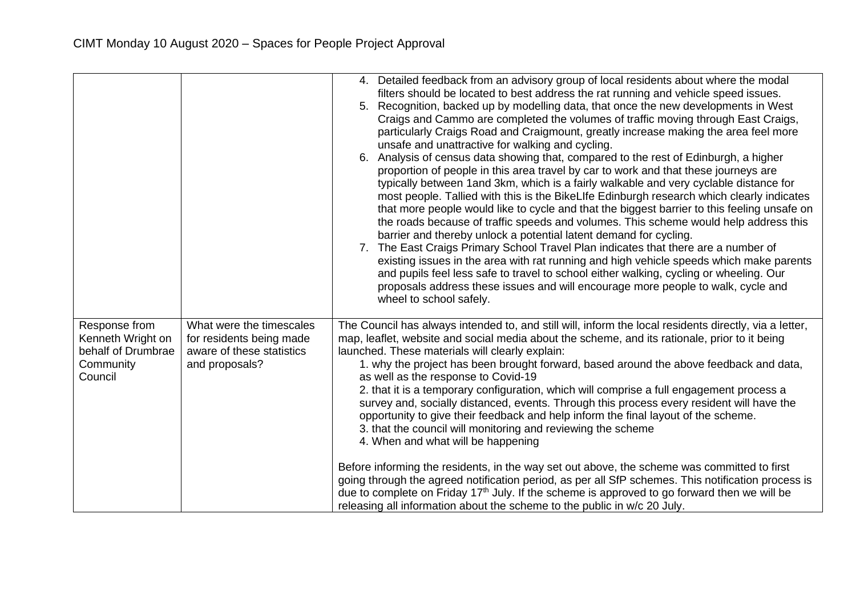|                                                                                  |                                                                                                     | 4. Detailed feedback from an advisory group of local residents about where the modal<br>filters should be located to best address the rat running and vehicle speed issues.<br>5. Recognition, backed up by modelling data, that once the new developments in West<br>Craigs and Cammo are completed the volumes of traffic moving through East Craigs,<br>particularly Craigs Road and Craigmount, greatly increase making the area feel more<br>unsafe and unattractive for walking and cycling.<br>6. Analysis of census data showing that, compared to the rest of Edinburgh, a higher<br>proportion of people in this area travel by car to work and that these journeys are<br>typically between 1 and 3km, which is a fairly walkable and very cyclable distance for<br>most people. Tallied with this is the BikeLIfe Edinburgh research which clearly indicates<br>that more people would like to cycle and that the biggest barrier to this feeling unsafe on<br>the roads because of traffic speeds and volumes. This scheme would help address this<br>barrier and thereby unlock a potential latent demand for cycling.<br>7. The East Craigs Primary School Travel Plan indicates that there are a number of<br>existing issues in the area with rat running and high vehicle speeds which make parents<br>and pupils feel less safe to travel to school either walking, cycling or wheeling. Our<br>proposals address these issues and will encourage more people to walk, cycle and<br>wheel to school safely. |
|----------------------------------------------------------------------------------|-----------------------------------------------------------------------------------------------------|--------------------------------------------------------------------------------------------------------------------------------------------------------------------------------------------------------------------------------------------------------------------------------------------------------------------------------------------------------------------------------------------------------------------------------------------------------------------------------------------------------------------------------------------------------------------------------------------------------------------------------------------------------------------------------------------------------------------------------------------------------------------------------------------------------------------------------------------------------------------------------------------------------------------------------------------------------------------------------------------------------------------------------------------------------------------------------------------------------------------------------------------------------------------------------------------------------------------------------------------------------------------------------------------------------------------------------------------------------------------------------------------------------------------------------------------------------------------------------------------------------------------------------|
| Response from<br>Kenneth Wright on<br>behalf of Drumbrae<br>Community<br>Council | What were the timescales<br>for residents being made<br>aware of these statistics<br>and proposals? | The Council has always intended to, and still will, inform the local residents directly, via a letter,<br>map, leaflet, website and social media about the scheme, and its rationale, prior to it being<br>launched. These materials will clearly explain:<br>1. why the project has been brought forward, based around the above feedback and data,<br>as well as the response to Covid-19<br>2. that it is a temporary configuration, which will comprise a full engagement process a<br>survey and, socially distanced, events. Through this process every resident will have the<br>opportunity to give their feedback and help inform the final layout of the scheme.<br>3. that the council will monitoring and reviewing the scheme<br>4. When and what will be happening<br>Before informing the residents, in the way set out above, the scheme was committed to first<br>going through the agreed notification period, as per all SfP schemes. This notification process is<br>due to complete on Friday 17 <sup>th</sup> July. If the scheme is approved to go forward then we will be<br>releasing all information about the scheme to the public in w/c 20 July.                                                                                                                                                                                                                                                                                                                                                  |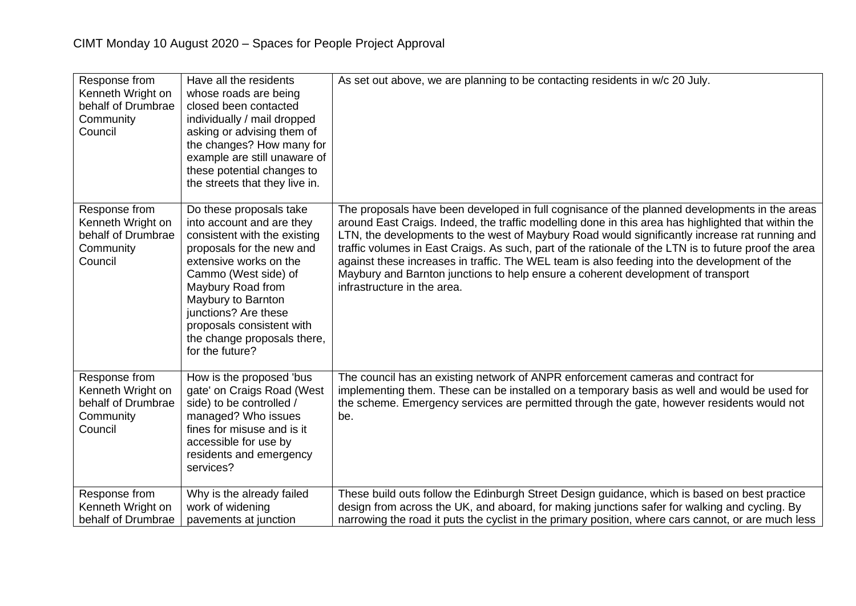| Response from<br>Kenneth Wright on<br>behalf of Drumbrae<br>Community<br>Council | Have all the residents<br>whose roads are being<br>closed been contacted<br>individually / mail dropped<br>asking or advising them of<br>the changes? How many for<br>example are still unaware of<br>these potential changes to<br>the streets that they live in.                                                    | As set out above, we are planning to be contacting residents in w/c 20 July.                                                                                                                                                                                                                                                                                                                                                                                                                                                                                                                                                       |
|----------------------------------------------------------------------------------|-----------------------------------------------------------------------------------------------------------------------------------------------------------------------------------------------------------------------------------------------------------------------------------------------------------------------|------------------------------------------------------------------------------------------------------------------------------------------------------------------------------------------------------------------------------------------------------------------------------------------------------------------------------------------------------------------------------------------------------------------------------------------------------------------------------------------------------------------------------------------------------------------------------------------------------------------------------------|
| Response from<br>Kenneth Wright on<br>behalf of Drumbrae<br>Community<br>Council | Do these proposals take<br>into account and are they<br>consistent with the existing<br>proposals for the new and<br>extensive works on the<br>Cammo (West side) of<br>Maybury Road from<br>Maybury to Barnton<br>junctions? Are these<br>proposals consistent with<br>the change proposals there,<br>for the future? | The proposals have been developed in full cognisance of the planned developments in the areas<br>around East Craigs. Indeed, the traffic modelling done in this area has highlighted that within the<br>LTN, the developments to the west of Maybury Road would significantly increase rat running and<br>traffic volumes in East Craigs. As such, part of the rationale of the LTN is to future proof the area<br>against these increases in traffic. The WEL team is also feeding into the development of the<br>Maybury and Barnton junctions to help ensure a coherent development of transport<br>infrastructure in the area. |
| Response from<br>Kenneth Wright on<br>behalf of Drumbrae<br>Community<br>Council | How is the proposed 'bus<br>gate' on Craigs Road (West<br>side) to be controlled /<br>managed? Who issues<br>fines for misuse and is it<br>accessible for use by<br>residents and emergency<br>services?                                                                                                              | The council has an existing network of ANPR enforcement cameras and contract for<br>implementing them. These can be installed on a temporary basis as well and would be used for<br>the scheme. Emergency services are permitted through the gate, however residents would not<br>be.                                                                                                                                                                                                                                                                                                                                              |
| Response from<br>Kenneth Wright on<br>behalf of Drumbrae                         | Why is the already failed<br>work of widening<br>pavements at junction                                                                                                                                                                                                                                                | These build outs follow the Edinburgh Street Design guidance, which is based on best practice<br>design from across the UK, and aboard, for making junctions safer for walking and cycling. By<br>narrowing the road it puts the cyclist in the primary position, where cars cannot, or are much less                                                                                                                                                                                                                                                                                                                              |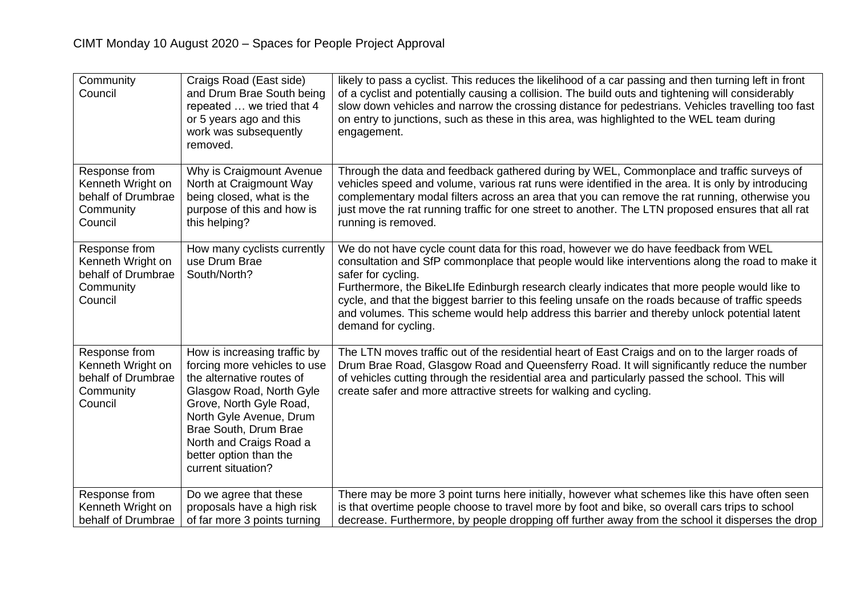| Community<br>Council                                                             | Craigs Road (East side)<br>and Drum Brae South being<br>repeated  we tried that 4<br>or 5 years ago and this<br>work was subsequently<br>removed.                                                                                                                               | likely to pass a cyclist. This reduces the likelihood of a car passing and then turning left in front<br>of a cyclist and potentially causing a collision. The build outs and tightening will considerably<br>slow down vehicles and narrow the crossing distance for pedestrians. Vehicles travelling too fast<br>on entry to junctions, such as these in this area, was highlighted to the WEL team during<br>engagement.                                                                                                               |
|----------------------------------------------------------------------------------|---------------------------------------------------------------------------------------------------------------------------------------------------------------------------------------------------------------------------------------------------------------------------------|-------------------------------------------------------------------------------------------------------------------------------------------------------------------------------------------------------------------------------------------------------------------------------------------------------------------------------------------------------------------------------------------------------------------------------------------------------------------------------------------------------------------------------------------|
| Response from<br>Kenneth Wright on<br>behalf of Drumbrae<br>Community<br>Council | Why is Craigmount Avenue<br>North at Craigmount Way<br>being closed, what is the<br>purpose of this and how is<br>this helping?                                                                                                                                                 | Through the data and feedback gathered during by WEL, Commonplace and traffic surveys of<br>vehicles speed and volume, various rat runs were identified in the area. It is only by introducing<br>complementary modal filters across an area that you can remove the rat running, otherwise you<br>just move the rat running traffic for one street to another. The LTN proposed ensures that all rat<br>running is removed.                                                                                                              |
| Response from<br>Kenneth Wright on<br>behalf of Drumbrae<br>Community<br>Council | How many cyclists currently<br>use Drum Brae<br>South/North?                                                                                                                                                                                                                    | We do not have cycle count data for this road, however we do have feedback from WEL<br>consultation and SfP commonplace that people would like interventions along the road to make it<br>safer for cycling.<br>Furthermore, the BikeLIfe Edinburgh research clearly indicates that more people would like to<br>cycle, and that the biggest barrier to this feeling unsafe on the roads because of traffic speeds<br>and volumes. This scheme would help address this barrier and thereby unlock potential latent<br>demand for cycling. |
| Response from<br>Kenneth Wright on<br>behalf of Drumbrae<br>Community<br>Council | How is increasing traffic by<br>forcing more vehicles to use<br>the alternative routes of<br>Glasgow Road, North Gyle<br>Grove, North Gyle Road,<br>North Gyle Avenue, Drum<br>Brae South, Drum Brae<br>North and Craigs Road a<br>better option than the<br>current situation? | The LTN moves traffic out of the residential heart of East Craigs and on to the larger roads of<br>Drum Brae Road, Glasgow Road and Queensferry Road. It will significantly reduce the number<br>of vehicles cutting through the residential area and particularly passed the school. This will<br>create safer and more attractive streets for walking and cycling.                                                                                                                                                                      |
| Response from<br>Kenneth Wright on<br>behalf of Drumbrae                         | Do we agree that these<br>proposals have a high risk<br>of far more 3 points turning                                                                                                                                                                                            | There may be more 3 point turns here initially, however what schemes like this have often seen<br>is that overtime people choose to travel more by foot and bike, so overall cars trips to school<br>decrease. Furthermore, by people dropping off further away from the school it disperses the drop                                                                                                                                                                                                                                     |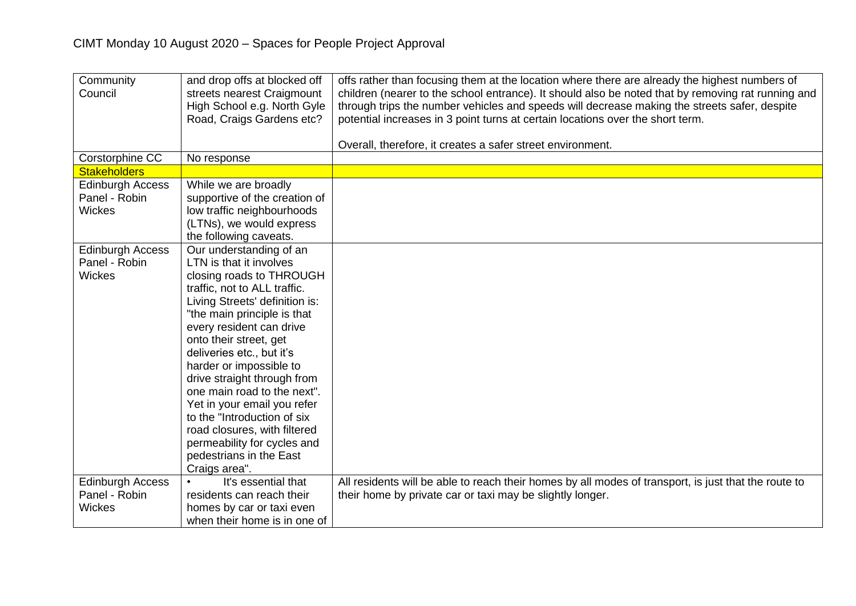| Community<br>Council                                      | and drop offs at blocked off<br>streets nearest Craigmount<br>High School e.g. North Gyle<br>Road, Craigs Gardens etc?                                                                                                                                                                                                                                                                                                                                                                                                               | offs rather than focusing them at the location where there are already the highest numbers of<br>children (nearer to the school entrance). It should also be noted that by removing rat running and<br>through trips the number vehicles and speeds will decrease making the streets safer, despite<br>potential increases in 3 point turns at certain locations over the short term. |
|-----------------------------------------------------------|--------------------------------------------------------------------------------------------------------------------------------------------------------------------------------------------------------------------------------------------------------------------------------------------------------------------------------------------------------------------------------------------------------------------------------------------------------------------------------------------------------------------------------------|---------------------------------------------------------------------------------------------------------------------------------------------------------------------------------------------------------------------------------------------------------------------------------------------------------------------------------------------------------------------------------------|
|                                                           |                                                                                                                                                                                                                                                                                                                                                                                                                                                                                                                                      | Overall, therefore, it creates a safer street environment.                                                                                                                                                                                                                                                                                                                            |
| Corstorphine CC                                           | No response                                                                                                                                                                                                                                                                                                                                                                                                                                                                                                                          |                                                                                                                                                                                                                                                                                                                                                                                       |
| <b>Stakeholders</b>                                       |                                                                                                                                                                                                                                                                                                                                                                                                                                                                                                                                      |                                                                                                                                                                                                                                                                                                                                                                                       |
| <b>Edinburgh Access</b><br>Panel - Robin<br>Wickes        | While we are broadly<br>supportive of the creation of<br>low traffic neighbourhoods<br>(LTNs), we would express<br>the following caveats.                                                                                                                                                                                                                                                                                                                                                                                            |                                                                                                                                                                                                                                                                                                                                                                                       |
| <b>Edinburgh Access</b><br>Panel - Robin<br><b>Wickes</b> | Our understanding of an<br>LTN is that it involves<br>closing roads to THROUGH<br>traffic, not to ALL traffic.<br>Living Streets' definition is:<br>"the main principle is that<br>every resident can drive<br>onto their street, get<br>deliveries etc., but it's<br>harder or impossible to<br>drive straight through from<br>one main road to the next".<br>Yet in your email you refer<br>to the "Introduction of six<br>road closures, with filtered<br>permeability for cycles and<br>pedestrians in the East<br>Craigs area". |                                                                                                                                                                                                                                                                                                                                                                                       |
| <b>Edinburgh Access</b><br>Panel - Robin<br><b>Wickes</b> | It's essential that<br>residents can reach their<br>homes by car or taxi even<br>when their home is in one of                                                                                                                                                                                                                                                                                                                                                                                                                        | All residents will be able to reach their homes by all modes of transport, is just that the route to<br>their home by private car or taxi may be slightly longer.                                                                                                                                                                                                                     |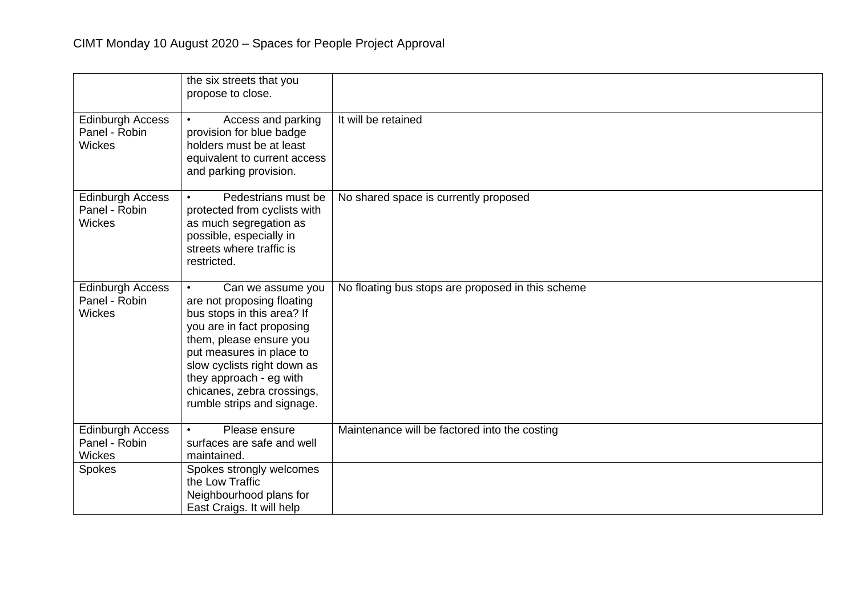|                                                           | the six streets that you<br>propose to close.                                                                                                                                                                                                                                                        |                                                   |
|-----------------------------------------------------------|------------------------------------------------------------------------------------------------------------------------------------------------------------------------------------------------------------------------------------------------------------------------------------------------------|---------------------------------------------------|
| <b>Edinburgh Access</b><br>Panel - Robin<br><b>Wickes</b> | Access and parking<br>provision for blue badge<br>holders must be at least<br>equivalent to current access<br>and parking provision.                                                                                                                                                                 | It will be retained                               |
| <b>Edinburgh Access</b><br>Panel - Robin<br><b>Wickes</b> | Pedestrians must be<br>protected from cyclists with<br>as much segregation as<br>possible, especially in<br>streets where traffic is<br>restricted.                                                                                                                                                  | No shared space is currently proposed             |
| <b>Edinburgh Access</b><br>Panel - Robin<br><b>Wickes</b> | Can we assume you<br>$\bullet$<br>are not proposing floating<br>bus stops in this area? If<br>you are in fact proposing<br>them, please ensure you<br>put measures in place to<br>slow cyclists right down as<br>they approach - eg with<br>chicanes, zebra crossings,<br>rumble strips and signage. | No floating bus stops are proposed in this scheme |
| <b>Edinburgh Access</b><br>Panel - Robin<br>Wickes        | Please ensure<br>$\bullet$<br>surfaces are safe and well<br>maintained.                                                                                                                                                                                                                              | Maintenance will be factored into the costing     |
| Spokes                                                    | Spokes strongly welcomes<br>the Low Traffic<br>Neighbourhood plans for<br>East Craigs. It will help                                                                                                                                                                                                  |                                                   |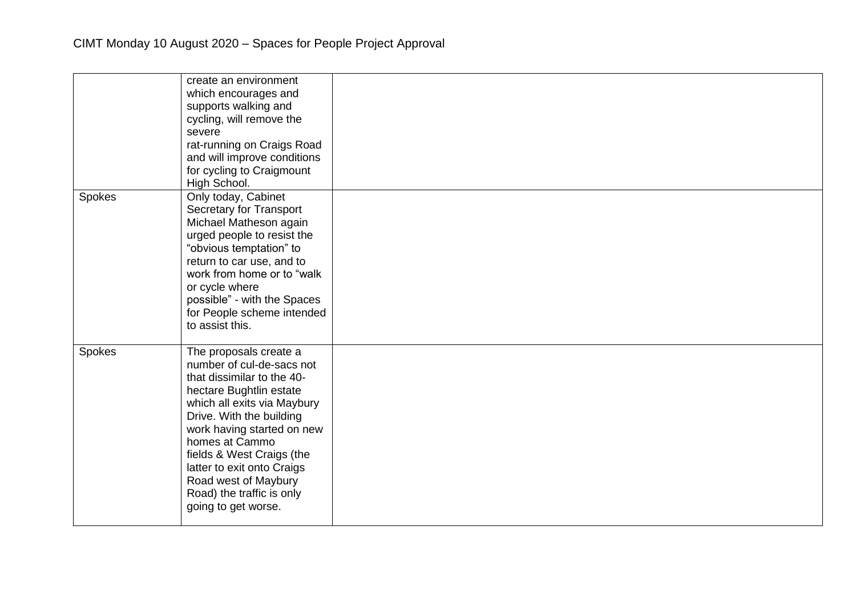|        | create an environment<br>which encourages and<br>supports walking and<br>cycling, will remove the<br>severe<br>rat-running on Craigs Road<br>and will improve conditions<br>for cycling to Craigmount<br>High School.                                                                                                                                          |  |
|--------|----------------------------------------------------------------------------------------------------------------------------------------------------------------------------------------------------------------------------------------------------------------------------------------------------------------------------------------------------------------|--|
| Spokes | Only today, Cabinet<br><b>Secretary for Transport</b><br>Michael Matheson again<br>urged people to resist the<br>"obvious temptation" to<br>return to car use, and to<br>work from home or to "walk<br>or cycle where<br>possible" - with the Spaces<br>for People scheme intended<br>to assist this.                                                          |  |
| Spokes | The proposals create a<br>number of cul-de-sacs not<br>that dissimilar to the 40-<br>hectare Bughtlin estate<br>which all exits via Maybury<br>Drive. With the building<br>work having started on new<br>homes at Cammo<br>fields & West Craigs (the<br>latter to exit onto Craigs<br>Road west of Maybury<br>Road) the traffic is only<br>going to get worse. |  |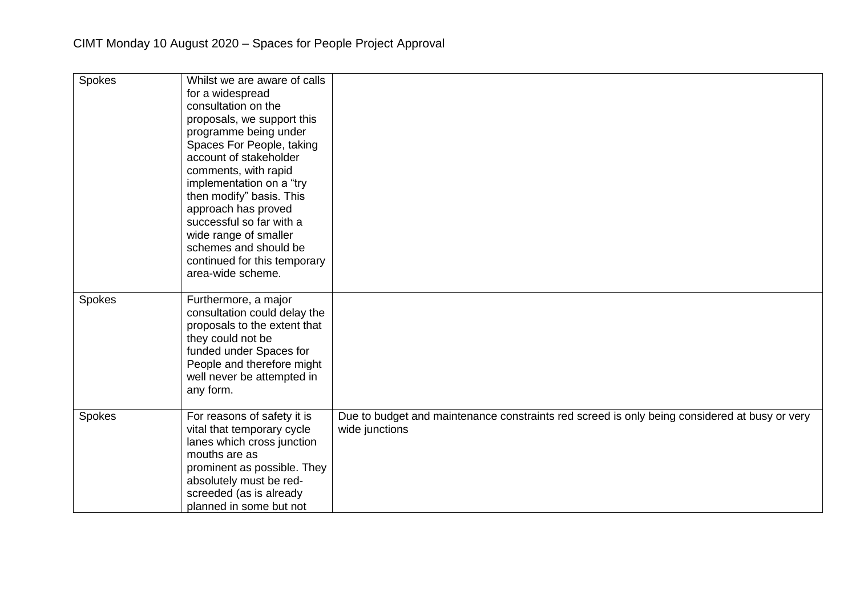| Spokes | Whilst we are aware of calls<br>for a widespread<br>consultation on the<br>proposals, we support this<br>programme being under<br>Spaces For People, taking<br>account of stakeholder<br>comments, with rapid<br>implementation on a "try<br>then modify" basis. This<br>approach has proved<br>successful so far with a<br>wide range of smaller<br>schemes and should be<br>continued for this temporary<br>area-wide scheme. |                                                                                                                 |
|--------|---------------------------------------------------------------------------------------------------------------------------------------------------------------------------------------------------------------------------------------------------------------------------------------------------------------------------------------------------------------------------------------------------------------------------------|-----------------------------------------------------------------------------------------------------------------|
| Spokes | Furthermore, a major<br>consultation could delay the<br>proposals to the extent that<br>they could not be<br>funded under Spaces for<br>People and therefore might<br>well never be attempted in<br>any form.                                                                                                                                                                                                                   |                                                                                                                 |
| Spokes | For reasons of safety it is<br>vital that temporary cycle<br>lanes which cross junction<br>mouths are as<br>prominent as possible. They<br>absolutely must be red-<br>screeded (as is already<br>planned in some but not                                                                                                                                                                                                        | Due to budget and maintenance constraints red screed is only being considered at busy or very<br>wide junctions |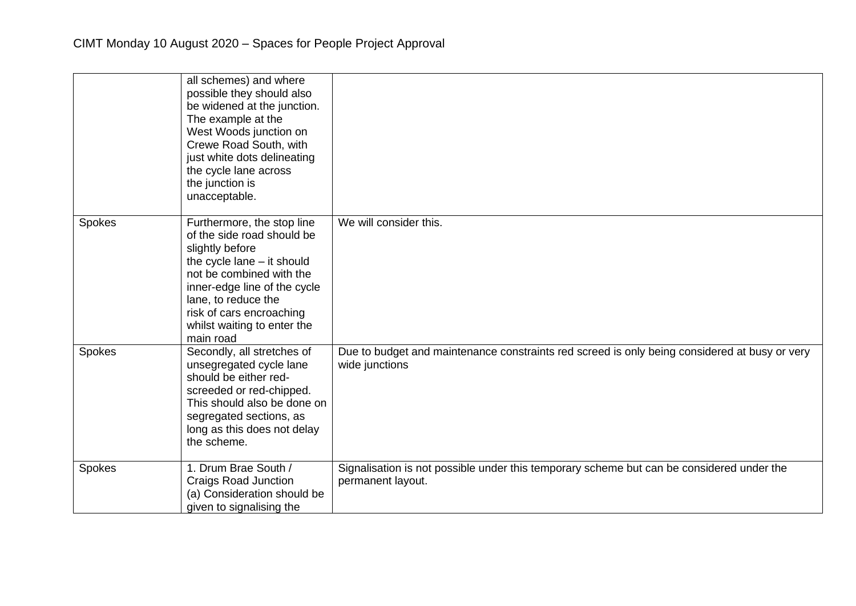|        | all schemes) and where<br>possible they should also<br>be widened at the junction.<br>The example at the<br>West Woods junction on<br>Crewe Road South, with<br>just white dots delineating<br>the cycle lane across<br>the junction is<br>unacceptable.               |                                                                                                                 |
|--------|------------------------------------------------------------------------------------------------------------------------------------------------------------------------------------------------------------------------------------------------------------------------|-----------------------------------------------------------------------------------------------------------------|
| Spokes | Furthermore, the stop line<br>of the side road should be<br>slightly before<br>the cycle $lane - it$ should<br>not be combined with the<br>inner-edge line of the cycle<br>lane, to reduce the<br>risk of cars encroaching<br>whilst waiting to enter the<br>main road | We will consider this.                                                                                          |
| Spokes | Secondly, all stretches of<br>unsegregated cycle lane<br>should be either red-<br>screeded or red-chipped.<br>This should also be done on<br>segregated sections, as<br>long as this does not delay<br>the scheme.                                                     | Due to budget and maintenance constraints red screed is only being considered at busy or very<br>wide junctions |
| Spokes | 1. Drum Brae South /<br><b>Craigs Road Junction</b><br>(a) Consideration should be<br>given to signalising the                                                                                                                                                         | Signalisation is not possible under this temporary scheme but can be considered under the<br>permanent layout.  |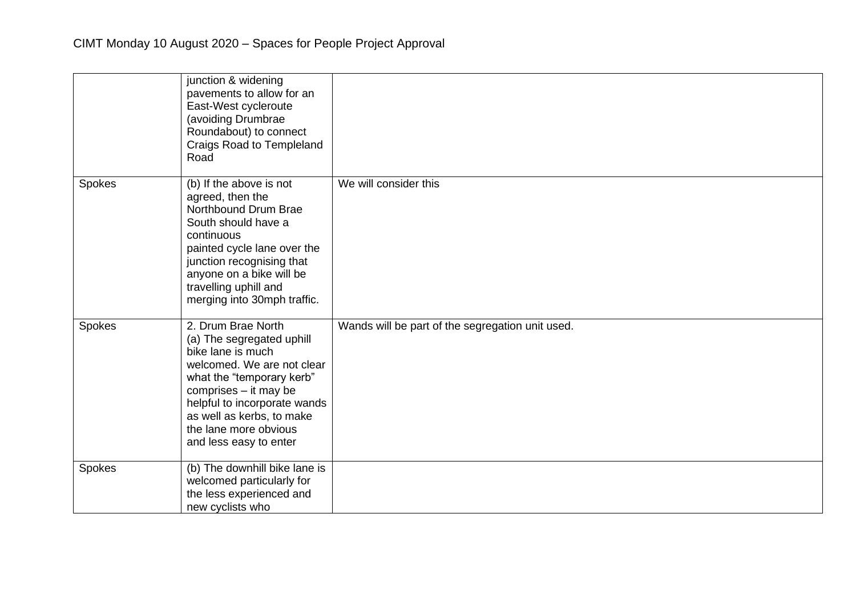|        | junction & widening<br>pavements to allow for an<br>East-West cycleroute<br>(avoiding Drumbrae<br>Roundabout) to connect<br>Craigs Road to Templeland<br>Road                                                                                                            |                                                  |
|--------|--------------------------------------------------------------------------------------------------------------------------------------------------------------------------------------------------------------------------------------------------------------------------|--------------------------------------------------|
| Spokes | (b) If the above is not<br>agreed, then the<br>Northbound Drum Brae<br>South should have a<br>continuous<br>painted cycle lane over the<br>junction recognising that<br>anyone on a bike will be<br>travelling uphill and<br>merging into 30mph traffic.                 | We will consider this                            |
| Spokes | 2. Drum Brae North<br>(a) The segregated uphill<br>bike lane is much<br>welcomed. We are not clear<br>what the "temporary kerb"<br>comprises - it may be<br>helpful to incorporate wands<br>as well as kerbs, to make<br>the lane more obvious<br>and less easy to enter | Wands will be part of the segregation unit used. |
| Spokes | (b) The downhill bike lane is<br>welcomed particularly for<br>the less experienced and<br>new cyclists who                                                                                                                                                               |                                                  |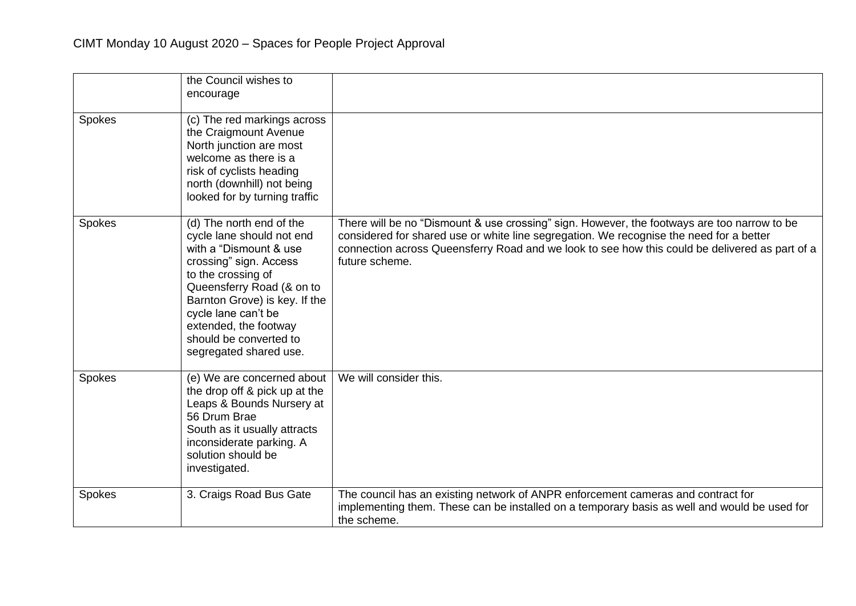|        | the Council wishes to<br>encourage                                                                                                                                                                                                                                                                |                                                                                                                                                                                                                                                                                                            |
|--------|---------------------------------------------------------------------------------------------------------------------------------------------------------------------------------------------------------------------------------------------------------------------------------------------------|------------------------------------------------------------------------------------------------------------------------------------------------------------------------------------------------------------------------------------------------------------------------------------------------------------|
| Spokes | (c) The red markings across<br>the Craigmount Avenue<br>North junction are most<br>welcome as there is a<br>risk of cyclists heading<br>north (downhill) not being<br>looked for by turning traffic                                                                                               |                                                                                                                                                                                                                                                                                                            |
| Spokes | (d) The north end of the<br>cycle lane should not end<br>with a "Dismount & use<br>crossing" sign. Access<br>to the crossing of<br>Queensferry Road (& on to<br>Barnton Grove) is key. If the<br>cycle lane can't be<br>extended, the footway<br>should be converted to<br>segregated shared use. | There will be no "Dismount & use crossing" sign. However, the footways are too narrow to be<br>considered for shared use or white line segregation. We recognise the need for a better<br>connection across Queensferry Road and we look to see how this could be delivered as part of a<br>future scheme. |
| Spokes | (e) We are concerned about<br>the drop off & pick up at the<br>Leaps & Bounds Nursery at<br>56 Drum Brae<br>South as it usually attracts<br>inconsiderate parking. A<br>solution should be<br>investigated.                                                                                       | We will consider this.                                                                                                                                                                                                                                                                                     |
| Spokes | 3. Craigs Road Bus Gate                                                                                                                                                                                                                                                                           | The council has an existing network of ANPR enforcement cameras and contract for<br>implementing them. These can be installed on a temporary basis as well and would be used for<br>the scheme.                                                                                                            |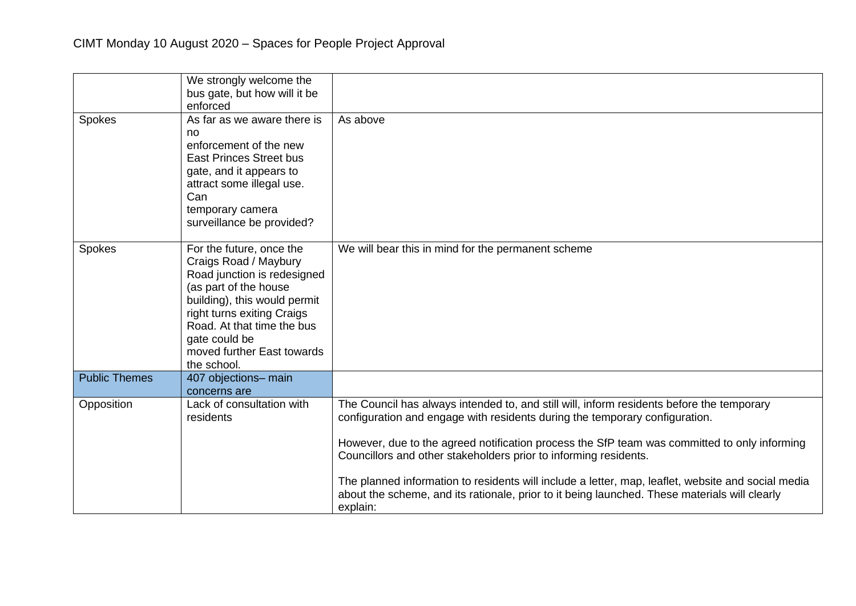|                      | We strongly welcome the<br>bus gate, but how will it be<br>enforced                                                                                                                                                                                                 |                                                                                                                                                                                                                                                                                                                                                                                                                                                                                                                                                                 |
|----------------------|---------------------------------------------------------------------------------------------------------------------------------------------------------------------------------------------------------------------------------------------------------------------|-----------------------------------------------------------------------------------------------------------------------------------------------------------------------------------------------------------------------------------------------------------------------------------------------------------------------------------------------------------------------------------------------------------------------------------------------------------------------------------------------------------------------------------------------------------------|
| Spokes               | As far as we aware there is<br>no<br>enforcement of the new<br><b>East Princes Street bus</b><br>gate, and it appears to<br>attract some illegal use.<br>Can<br>temporary camera<br>surveillance be provided?                                                       | As above                                                                                                                                                                                                                                                                                                                                                                                                                                                                                                                                                        |
| Spokes               | For the future, once the<br>Craigs Road / Maybury<br>Road junction is redesigned<br>(as part of the house<br>building), this would permit<br>right turns exiting Craigs<br>Road. At that time the bus<br>gate could be<br>moved further East towards<br>the school. | We will bear this in mind for the permanent scheme                                                                                                                                                                                                                                                                                                                                                                                                                                                                                                              |
| <b>Public Themes</b> | 407 objections- main<br>concerns are                                                                                                                                                                                                                                |                                                                                                                                                                                                                                                                                                                                                                                                                                                                                                                                                                 |
| Opposition           | Lack of consultation with<br>residents                                                                                                                                                                                                                              | The Council has always intended to, and still will, inform residents before the temporary<br>configuration and engage with residents during the temporary configuration.<br>However, due to the agreed notification process the SfP team was committed to only informing<br>Councillors and other stakeholders prior to informing residents.<br>The planned information to residents will include a letter, map, leaflet, website and social media<br>about the scheme, and its rationale, prior to it being launched. These materials will clearly<br>explain: |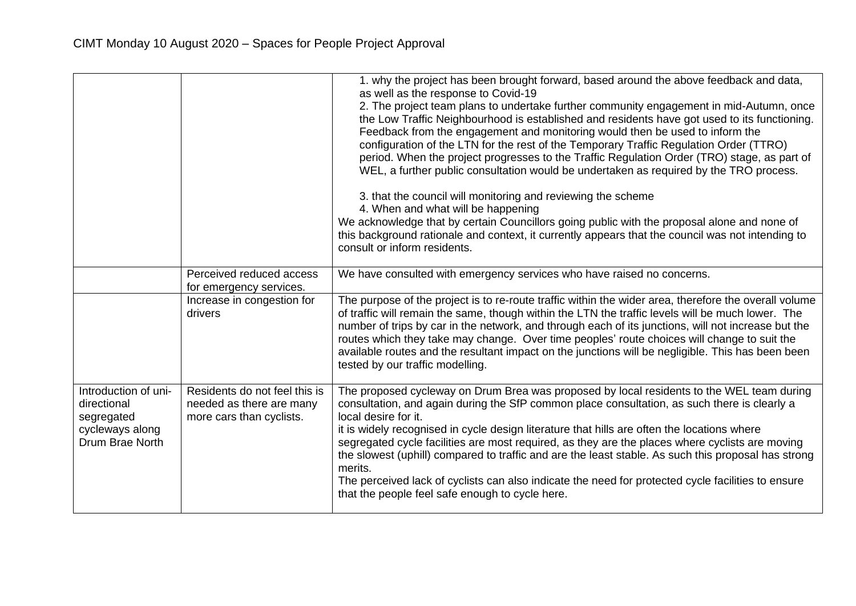|                                                                                         |                                                                                       | 1. why the project has been brought forward, based around the above feedback and data,<br>as well as the response to Covid-19<br>2. The project team plans to undertake further community engagement in mid-Autumn, once<br>the Low Traffic Neighbourhood is established and residents have got used to its functioning.<br>Feedback from the engagement and monitoring would then be used to inform the<br>configuration of the LTN for the rest of the Temporary Traffic Regulation Order (TTRO)<br>period. When the project progresses to the Traffic Regulation Order (TRO) stage, as part of<br>WEL, a further public consultation would be undertaken as required by the TRO process.<br>3. that the council will monitoring and reviewing the scheme<br>4. When and what will be happening<br>We acknowledge that by certain Councillors going public with the proposal alone and none of<br>this background rationale and context, it currently appears that the council was not intending to<br>consult or inform residents. |
|-----------------------------------------------------------------------------------------|---------------------------------------------------------------------------------------|---------------------------------------------------------------------------------------------------------------------------------------------------------------------------------------------------------------------------------------------------------------------------------------------------------------------------------------------------------------------------------------------------------------------------------------------------------------------------------------------------------------------------------------------------------------------------------------------------------------------------------------------------------------------------------------------------------------------------------------------------------------------------------------------------------------------------------------------------------------------------------------------------------------------------------------------------------------------------------------------------------------------------------------|
|                                                                                         | Perceived reduced access<br>for emergency services.                                   | We have consulted with emergency services who have raised no concerns.                                                                                                                                                                                                                                                                                                                                                                                                                                                                                                                                                                                                                                                                                                                                                                                                                                                                                                                                                                |
|                                                                                         | Increase in congestion for<br>drivers                                                 | The purpose of the project is to re-route traffic within the wider area, therefore the overall volume<br>of traffic will remain the same, though within the LTN the traffic levels will be much lower. The<br>number of trips by car in the network, and through each of its junctions, will not increase but the<br>routes which they take may change. Over time peoples' route choices will change to suit the<br>available routes and the resultant impact on the junctions will be negligible. This has been been<br>tested by our traffic modelling.                                                                                                                                                                                                                                                                                                                                                                                                                                                                             |
| Introduction of uni-<br>directional<br>segregated<br>cycleways along<br>Drum Brae North | Residents do not feel this is<br>needed as there are many<br>more cars than cyclists. | The proposed cycleway on Drum Brea was proposed by local residents to the WEL team during<br>consultation, and again during the SfP common place consultation, as such there is clearly a<br>local desire for it.<br>it is widely recognised in cycle design literature that hills are often the locations where<br>segregated cycle facilities are most required, as they are the places where cyclists are moving<br>the slowest (uphill) compared to traffic and are the least stable. As such this proposal has strong<br>merits.<br>The perceived lack of cyclists can also indicate the need for protected cycle facilities to ensure<br>that the people feel safe enough to cycle here.                                                                                                                                                                                                                                                                                                                                        |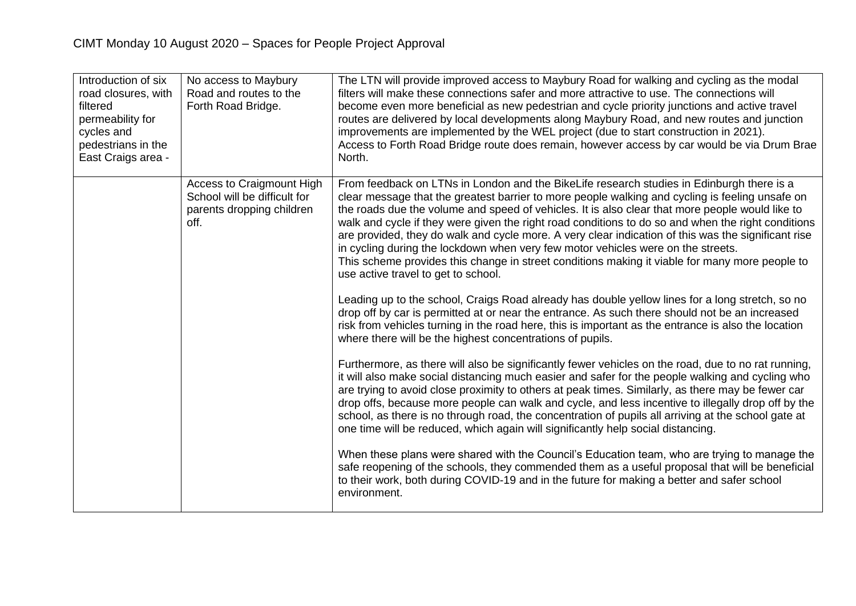| Introduction of six<br>road closures, with<br>filtered<br>permeability for<br>cycles and<br>pedestrians in the<br>East Craigs area - | No access to Maybury<br>Road and routes to the<br>Forth Road Bridge.                                  | The LTN will provide improved access to Maybury Road for walking and cycling as the modal<br>filters will make these connections safer and more attractive to use. The connections will<br>become even more beneficial as new pedestrian and cycle priority junctions and active travel<br>routes are delivered by local developments along Maybury Road, and new routes and junction<br>improvements are implemented by the WEL project (due to start construction in 2021).<br>Access to Forth Road Bridge route does remain, however access by car would be via Drum Brae<br>North.                                                                                                                                                                                                                                                                                                                                                                                                                                                                                             |
|--------------------------------------------------------------------------------------------------------------------------------------|-------------------------------------------------------------------------------------------------------|------------------------------------------------------------------------------------------------------------------------------------------------------------------------------------------------------------------------------------------------------------------------------------------------------------------------------------------------------------------------------------------------------------------------------------------------------------------------------------------------------------------------------------------------------------------------------------------------------------------------------------------------------------------------------------------------------------------------------------------------------------------------------------------------------------------------------------------------------------------------------------------------------------------------------------------------------------------------------------------------------------------------------------------------------------------------------------|
|                                                                                                                                      | <b>Access to Craigmount High</b><br>School will be difficult for<br>parents dropping children<br>off. | From feedback on LTNs in London and the BikeLife research studies in Edinburgh there is a<br>clear message that the greatest barrier to more people walking and cycling is feeling unsafe on<br>the roads due the volume and speed of vehicles. It is also clear that more people would like to<br>walk and cycle if they were given the right road conditions to do so and when the right conditions<br>are provided, they do walk and cycle more. A very clear indication of this was the significant rise<br>in cycling during the lockdown when very few motor vehicles were on the streets.<br>This scheme provides this change in street conditions making it viable for many more people to<br>use active travel to get to school.<br>Leading up to the school, Craigs Road already has double yellow lines for a long stretch, so no<br>drop off by car is permitted at or near the entrance. As such there should not be an increased                                                                                                                                     |
|                                                                                                                                      |                                                                                                       | risk from vehicles turning in the road here, this is important as the entrance is also the location<br>where there will be the highest concentrations of pupils.<br>Furthermore, as there will also be significantly fewer vehicles on the road, due to no rat running,<br>it will also make social distancing much easier and safer for the people walking and cycling who<br>are trying to avoid close proximity to others at peak times. Similarly, as there may be fewer car<br>drop offs, because more people can walk and cycle, and less incentive to illegally drop off by the<br>school, as there is no through road, the concentration of pupils all arriving at the school gate at<br>one time will be reduced, which again will significantly help social distancing.<br>When these plans were shared with the Council's Education team, who are trying to manage the<br>safe reopening of the schools, they commended them as a useful proposal that will be beneficial<br>to their work, both during COVID-19 and in the future for making a better and safer school |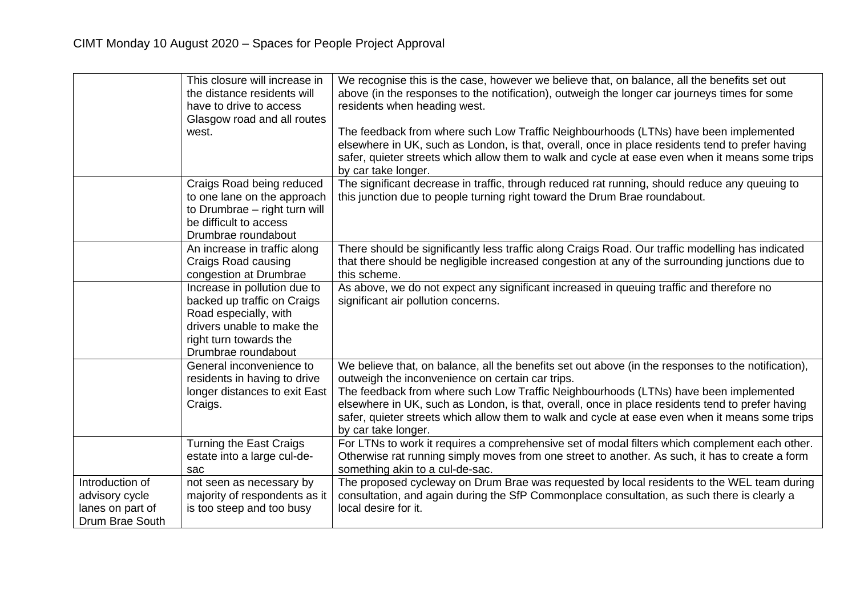|                  | This closure will increase in  | We recognise this is the case, however we believe that, on balance, all the benefits set out        |
|------------------|--------------------------------|-----------------------------------------------------------------------------------------------------|
|                  | the distance residents will    | above (in the responses to the notification), outweigh the longer car journeys times for some       |
|                  | have to drive to access        | residents when heading west.                                                                        |
|                  | Glasgow road and all routes    |                                                                                                     |
|                  | west.                          | The feedback from where such Low Traffic Neighbourhoods (LTNs) have been implemented                |
|                  |                                | elsewhere in UK, such as London, is that, overall, once in place residents tend to prefer having    |
|                  |                                | safer, quieter streets which allow them to walk and cycle at ease even when it means some trips     |
|                  |                                | by car take longer.                                                                                 |
|                  | Craigs Road being reduced      | The significant decrease in traffic, through reduced rat running, should reduce any queuing to      |
|                  | to one lane on the approach    | this junction due to people turning right toward the Drum Brae roundabout.                          |
|                  | to Drumbrae - right turn will  |                                                                                                     |
|                  | be difficult to access         |                                                                                                     |
|                  | Drumbrae roundabout            |                                                                                                     |
|                  | An increase in traffic along   | There should be significantly less traffic along Craigs Road. Our traffic modelling has indicated   |
|                  | Craigs Road causing            | that there should be negligible increased congestion at any of the surrounding junctions due to     |
|                  | congestion at Drumbrae         | this scheme.                                                                                        |
|                  | Increase in pollution due to   | As above, we do not expect any significant increased in queuing traffic and therefore no            |
|                  | backed up traffic on Craigs    | significant air pollution concerns.                                                                 |
|                  | Road especially, with          |                                                                                                     |
|                  | drivers unable to make the     |                                                                                                     |
|                  | right turn towards the         |                                                                                                     |
|                  | Drumbrae roundabout            |                                                                                                     |
|                  | General inconvenience to       | We believe that, on balance, all the benefits set out above (in the responses to the notification), |
|                  | residents in having to drive   | outweigh the inconvenience on certain car trips.                                                    |
|                  | longer distances to exit East  | The feedback from where such Low Traffic Neighbourhoods (LTNs) have been implemented                |
|                  | Craigs.                        | elsewhere in UK, such as London, is that, overall, once in place residents tend to prefer having    |
|                  |                                | safer, quieter streets which allow them to walk and cycle at ease even when it means some trips     |
|                  |                                | by car take longer.                                                                                 |
|                  | <b>Turning the East Craigs</b> | For LTNs to work it requires a comprehensive set of modal filters which complement each other.      |
|                  | estate into a large cul-de-    | Otherwise rat running simply moves from one street to another. As such, it has to create a form     |
|                  | sac                            | something akin to a cul-de-sac.                                                                     |
| Introduction of  | not seen as necessary by       | The proposed cycleway on Drum Brae was requested by local residents to the WEL team during          |
| advisory cycle   | majority of respondents as it  | consultation, and again during the SfP Commonplace consultation, as such there is clearly a         |
| lanes on part of | is too steep and too busy      | local desire for it.                                                                                |
| Drum Brae South  |                                |                                                                                                     |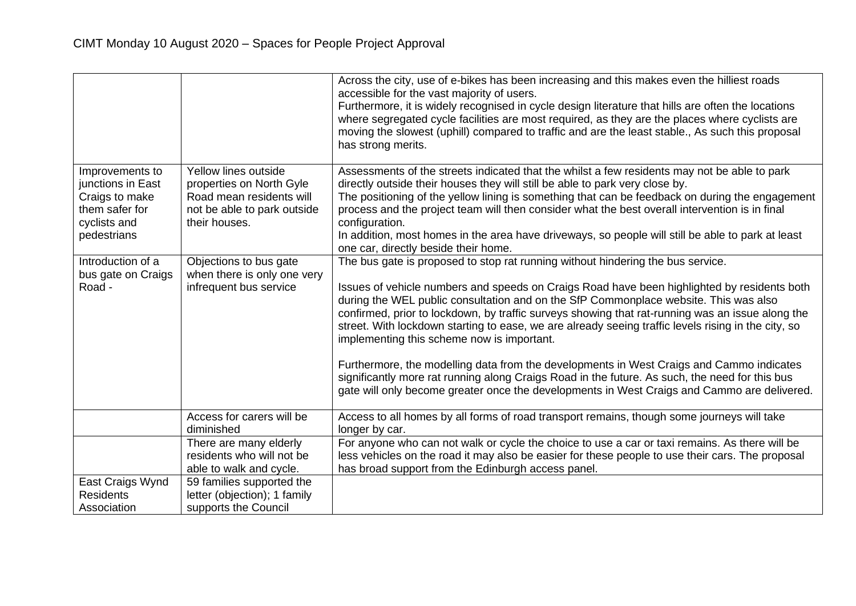|                                                                                                         |                                                                                                                              | Across the city, use of e-bikes has been increasing and this makes even the hilliest roads<br>accessible for the vast majority of users.<br>Furthermore, it is widely recognised in cycle design literature that hills are often the locations<br>where segregated cycle facilities are most required, as they are the places where cyclists are<br>moving the slowest (uphill) compared to traffic and are the least stable., As such this proposal<br>has strong merits.                                                                                                                                                                                                                                                                                                                                                   |
|---------------------------------------------------------------------------------------------------------|------------------------------------------------------------------------------------------------------------------------------|------------------------------------------------------------------------------------------------------------------------------------------------------------------------------------------------------------------------------------------------------------------------------------------------------------------------------------------------------------------------------------------------------------------------------------------------------------------------------------------------------------------------------------------------------------------------------------------------------------------------------------------------------------------------------------------------------------------------------------------------------------------------------------------------------------------------------|
| Improvements to<br>junctions in East<br>Craigs to make<br>them safer for<br>cyclists and<br>pedestrians | Yellow lines outside<br>properties on North Gyle<br>Road mean residents will<br>not be able to park outside<br>their houses. | Assessments of the streets indicated that the whilst a few residents may not be able to park<br>directly outside their houses they will still be able to park very close by.<br>The positioning of the yellow lining is something that can be feedback on during the engagement<br>process and the project team will then consider what the best overall intervention is in final<br>configuration.<br>In addition, most homes in the area have driveways, so people will still be able to park at least<br>one car, directly beside their home.                                                                                                                                                                                                                                                                             |
| Introduction of a<br>bus gate on Craigs<br>Road -                                                       | Objections to bus gate<br>when there is only one very<br>infrequent bus service                                              | The bus gate is proposed to stop rat running without hindering the bus service.<br>Issues of vehicle numbers and speeds on Craigs Road have been highlighted by residents both<br>during the WEL public consultation and on the SfP Commonplace website. This was also<br>confirmed, prior to lockdown, by traffic surveys showing that rat-running was an issue along the<br>street. With lockdown starting to ease, we are already seeing traffic levels rising in the city, so<br>implementing this scheme now is important.<br>Furthermore, the modelling data from the developments in West Craigs and Cammo indicates<br>significantly more rat running along Craigs Road in the future. As such, the need for this bus<br>gate will only become greater once the developments in West Craigs and Cammo are delivered. |
|                                                                                                         | Access for carers will be<br>diminished                                                                                      | Access to all homes by all forms of road transport remains, though some journeys will take<br>longer by car.                                                                                                                                                                                                                                                                                                                                                                                                                                                                                                                                                                                                                                                                                                                 |
|                                                                                                         | There are many elderly<br>residents who will not be<br>able to walk and cycle.                                               | For anyone who can not walk or cycle the choice to use a car or taxi remains. As there will be<br>less vehicles on the road it may also be easier for these people to use their cars. The proposal<br>has broad support from the Edinburgh access panel.                                                                                                                                                                                                                                                                                                                                                                                                                                                                                                                                                                     |
| East Craigs Wynd<br><b>Residents</b><br>Association                                                     | 59 families supported the<br>letter (objection); 1 family<br>supports the Council                                            |                                                                                                                                                                                                                                                                                                                                                                                                                                                                                                                                                                                                                                                                                                                                                                                                                              |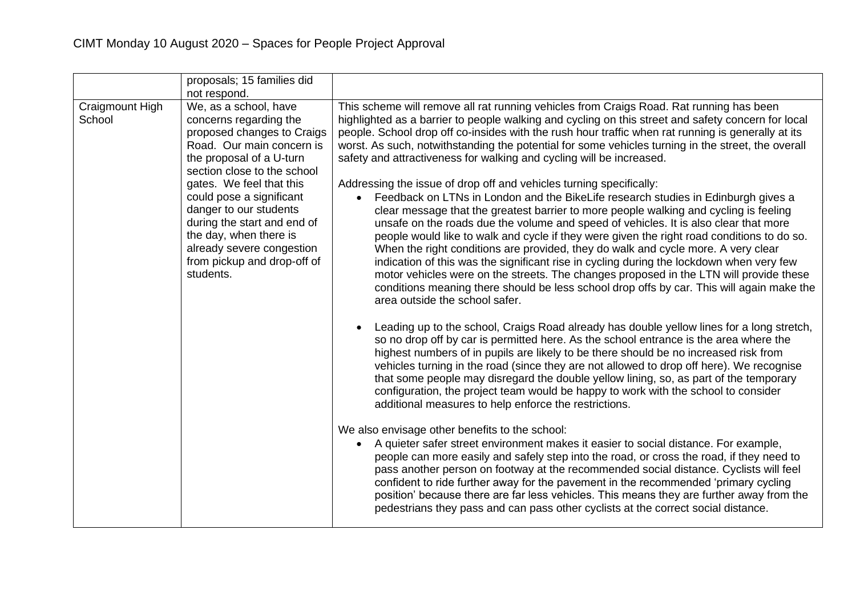|                           | proposals; 15 families did<br>not respond.                                                                                                                                                                                                                                                                                                                                                |                                                                                                                                                                                                                                                                                                                                                                                                                                                                                                                                                                                                                                                                                                                                                                                                                                                                                                                                                                                                                                                                                                                                                                                                                                                                                                                                                                                                                                                                                                                                                                                                                                                                                                                                                                                                                                                                                                                                                                                                                                                                                                                                                                                                                                                                                                                                                                                                                                                                                                                                                                             |
|---------------------------|-------------------------------------------------------------------------------------------------------------------------------------------------------------------------------------------------------------------------------------------------------------------------------------------------------------------------------------------------------------------------------------------|-----------------------------------------------------------------------------------------------------------------------------------------------------------------------------------------------------------------------------------------------------------------------------------------------------------------------------------------------------------------------------------------------------------------------------------------------------------------------------------------------------------------------------------------------------------------------------------------------------------------------------------------------------------------------------------------------------------------------------------------------------------------------------------------------------------------------------------------------------------------------------------------------------------------------------------------------------------------------------------------------------------------------------------------------------------------------------------------------------------------------------------------------------------------------------------------------------------------------------------------------------------------------------------------------------------------------------------------------------------------------------------------------------------------------------------------------------------------------------------------------------------------------------------------------------------------------------------------------------------------------------------------------------------------------------------------------------------------------------------------------------------------------------------------------------------------------------------------------------------------------------------------------------------------------------------------------------------------------------------------------------------------------------------------------------------------------------------------------------------------------------------------------------------------------------------------------------------------------------------------------------------------------------------------------------------------------------------------------------------------------------------------------------------------------------------------------------------------------------------------------------------------------------------------------------------------------------|
| Craigmount High<br>School | We, as a school, have<br>concerns regarding the<br>proposed changes to Craigs<br>Road. Our main concern is<br>the proposal of a U-turn<br>section close to the school<br>gates. We feel that this<br>could pose a significant<br>danger to our students<br>during the start and end of<br>the day, when there is<br>already severe congestion<br>from pickup and drop-off of<br>students. | This scheme will remove all rat running vehicles from Craigs Road. Rat running has been<br>highlighted as a barrier to people walking and cycling on this street and safety concern for local<br>people. School drop off co-insides with the rush hour traffic when rat running is generally at its<br>worst. As such, notwithstanding the potential for some vehicles turning in the street, the overall<br>safety and attractiveness for walking and cycling will be increased.<br>Addressing the issue of drop off and vehicles turning specifically:<br>Feedback on LTNs in London and the BikeLife research studies in Edinburgh gives a<br>$\bullet$<br>clear message that the greatest barrier to more people walking and cycling is feeling<br>unsafe on the roads due the volume and speed of vehicles. It is also clear that more<br>people would like to walk and cycle if they were given the right road conditions to do so.<br>When the right conditions are provided, they do walk and cycle more. A very clear<br>indication of this was the significant rise in cycling during the lockdown when very few<br>motor vehicles were on the streets. The changes proposed in the LTN will provide these<br>conditions meaning there should be less school drop offs by car. This will again make the<br>area outside the school safer.<br>Leading up to the school, Craigs Road already has double yellow lines for a long stretch,<br>so no drop off by car is permitted here. As the school entrance is the area where the<br>highest numbers of in pupils are likely to be there should be no increased risk from<br>vehicles turning in the road (since they are not allowed to drop off here). We recognise<br>that some people may disregard the double yellow lining, so, as part of the temporary<br>configuration, the project team would be happy to work with the school to consider<br>additional measures to help enforce the restrictions.<br>We also envisage other benefits to the school:<br>A quieter safer street environment makes it easier to social distance. For example,<br>people can more easily and safely step into the road, or cross the road, if they need to<br>pass another person on footway at the recommended social distance. Cyclists will feel<br>confident to ride further away for the pavement in the recommended 'primary cycling<br>position' because there are far less vehicles. This means they are further away from the<br>pedestrians they pass and can pass other cyclists at the correct social distance. |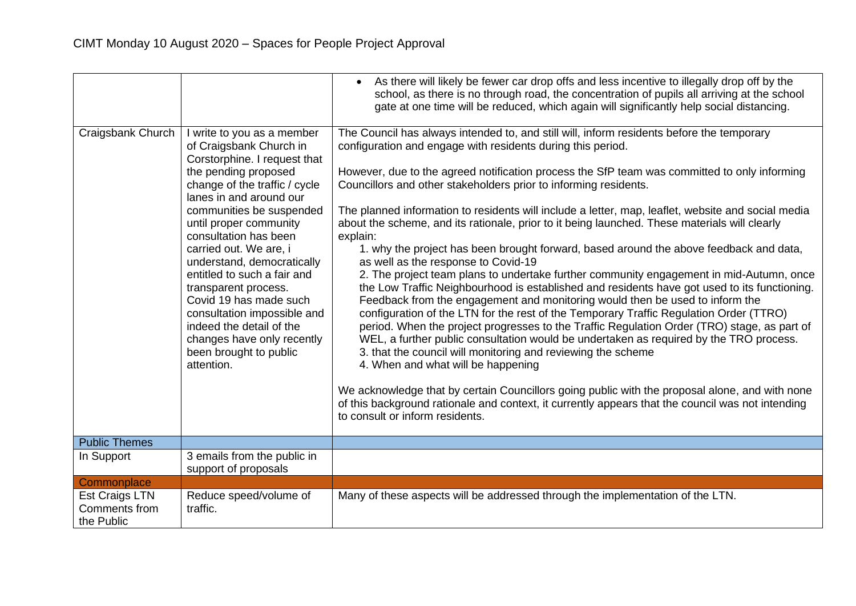|                                                      |                                                                                                                                                                                                                                                                                                                                                                                                                                                                                                                                    | As there will likely be fewer car drop offs and less incentive to illegally drop off by the<br>school, as there is no through road, the concentration of pupils all arriving at the school<br>gate at one time will be reduced, which again will significantly help social distancing.                                                                                                                                                                                                                                                                                                                                                                                                                                                                                                                                                                                                                                                                                                                                                                                                                                                                                                                                                                                                                                                                                                                                                                                                                                                                                                         |
|------------------------------------------------------|------------------------------------------------------------------------------------------------------------------------------------------------------------------------------------------------------------------------------------------------------------------------------------------------------------------------------------------------------------------------------------------------------------------------------------------------------------------------------------------------------------------------------------|------------------------------------------------------------------------------------------------------------------------------------------------------------------------------------------------------------------------------------------------------------------------------------------------------------------------------------------------------------------------------------------------------------------------------------------------------------------------------------------------------------------------------------------------------------------------------------------------------------------------------------------------------------------------------------------------------------------------------------------------------------------------------------------------------------------------------------------------------------------------------------------------------------------------------------------------------------------------------------------------------------------------------------------------------------------------------------------------------------------------------------------------------------------------------------------------------------------------------------------------------------------------------------------------------------------------------------------------------------------------------------------------------------------------------------------------------------------------------------------------------------------------------------------------------------------------------------------------|
| Craigsbank Church                                    | I write to you as a member<br>of Craigsbank Church in<br>Corstorphine. I request that<br>the pending proposed<br>change of the traffic / cycle<br>lanes in and around our<br>communities be suspended<br>until proper community<br>consultation has been<br>carried out. We are, i<br>understand, democratically<br>entitled to such a fair and<br>transparent process.<br>Covid 19 has made such<br>consultation impossible and<br>indeed the detail of the<br>changes have only recently<br>been brought to public<br>attention. | The Council has always intended to, and still will, inform residents before the temporary<br>configuration and engage with residents during this period.<br>However, due to the agreed notification process the SfP team was committed to only informing<br>Councillors and other stakeholders prior to informing residents.<br>The planned information to residents will include a letter, map, leaflet, website and social media<br>about the scheme, and its rationale, prior to it being launched. These materials will clearly<br>explain:<br>1. why the project has been brought forward, based around the above feedback and data,<br>as well as the response to Covid-19<br>2. The project team plans to undertake further community engagement in mid-Autumn, once<br>the Low Traffic Neighbourhood is established and residents have got used to its functioning.<br>Feedback from the engagement and monitoring would then be used to inform the<br>configuration of the LTN for the rest of the Temporary Traffic Regulation Order (TTRO)<br>period. When the project progresses to the Traffic Regulation Order (TRO) stage, as part of<br>WEL, a further public consultation would be undertaken as required by the TRO process.<br>3. that the council will monitoring and reviewing the scheme<br>4. When and what will be happening<br>We acknowledge that by certain Councillors going public with the proposal alone, and with none<br>of this background rationale and context, it currently appears that the council was not intending<br>to consult or inform residents. |
| <b>Public Themes</b>                                 |                                                                                                                                                                                                                                                                                                                                                                                                                                                                                                                                    |                                                                                                                                                                                                                                                                                                                                                                                                                                                                                                                                                                                                                                                                                                                                                                                                                                                                                                                                                                                                                                                                                                                                                                                                                                                                                                                                                                                                                                                                                                                                                                                                |
| In Support                                           | 3 emails from the public in<br>support of proposals                                                                                                                                                                                                                                                                                                                                                                                                                                                                                |                                                                                                                                                                                                                                                                                                                                                                                                                                                                                                                                                                                                                                                                                                                                                                                                                                                                                                                                                                                                                                                                                                                                                                                                                                                                                                                                                                                                                                                                                                                                                                                                |
| Commonplace                                          |                                                                                                                                                                                                                                                                                                                                                                                                                                                                                                                                    |                                                                                                                                                                                                                                                                                                                                                                                                                                                                                                                                                                                                                                                                                                                                                                                                                                                                                                                                                                                                                                                                                                                                                                                                                                                                                                                                                                                                                                                                                                                                                                                                |
| <b>Est Craigs LTN</b><br>Comments from<br>the Public | Reduce speed/volume of<br>traffic.                                                                                                                                                                                                                                                                                                                                                                                                                                                                                                 | Many of these aspects will be addressed through the implementation of the LTN.                                                                                                                                                                                                                                                                                                                                                                                                                                                                                                                                                                                                                                                                                                                                                                                                                                                                                                                                                                                                                                                                                                                                                                                                                                                                                                                                                                                                                                                                                                                 |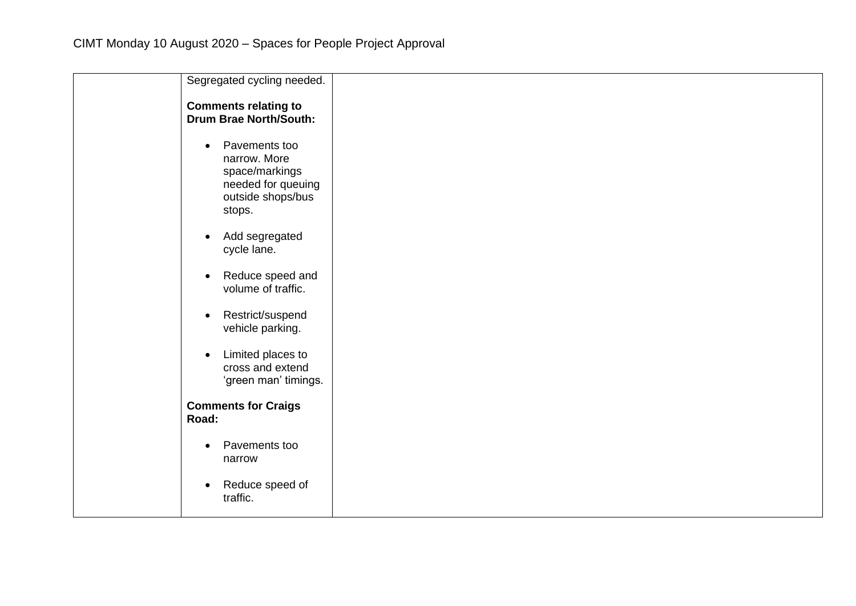| Segregated cycling needed.                                                                                        |  |
|-------------------------------------------------------------------------------------------------------------------|--|
| <b>Comments relating to</b><br><b>Drum Brae North/South:</b>                                                      |  |
| Pavements too<br>$\bullet$<br>narrow. More<br>space/markings<br>needed for queuing<br>outside shops/bus<br>stops. |  |
| Add segregated<br>$\bullet$<br>cycle lane.                                                                        |  |
| Reduce speed and<br>$\bullet$<br>volume of traffic.                                                               |  |
| Restrict/suspend<br>$\bullet$<br>vehicle parking.                                                                 |  |
| Limited places to<br>$\bullet$<br>cross and extend<br>'green man' timings.                                        |  |
| <b>Comments for Craigs</b><br>Road:                                                                               |  |
| Pavements too<br>$\bullet$<br>narrow                                                                              |  |
| Reduce speed of<br>$\bullet$<br>traffic.                                                                          |  |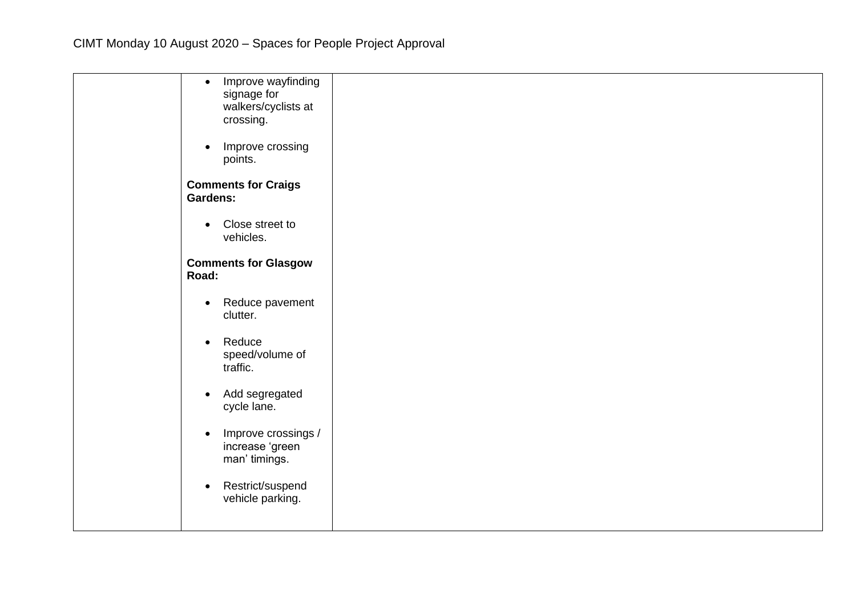| Improve wayfinding<br>$\bullet$          |
|------------------------------------------|
| signage for                              |
| walkers/cyclists at                      |
| crossing.                                |
|                                          |
| Improve crossing<br>$\bullet$<br>points. |
|                                          |
| <b>Comments for Craigs</b>               |
| <b>Gardens:</b>                          |
|                                          |
| Close street to<br>$\bullet$             |
| vehicles.                                |
|                                          |
| <b>Comments for Glasgow</b><br>Road:     |
|                                          |
| Reduce pavement<br>$\bullet$             |
| clutter.                                 |
|                                          |
| Reduce<br>$\bullet$                      |
| speed/volume of                          |
| traffic.                                 |
| Add segregated<br>$\bullet$              |
| cycle lane.                              |
|                                          |
| Improve crossings /<br>$\bullet$         |
| increase 'green                          |
| man' timings.                            |
|                                          |
| Restrict/suspend<br>$\bullet$            |
| vehicle parking.                         |
|                                          |
|                                          |